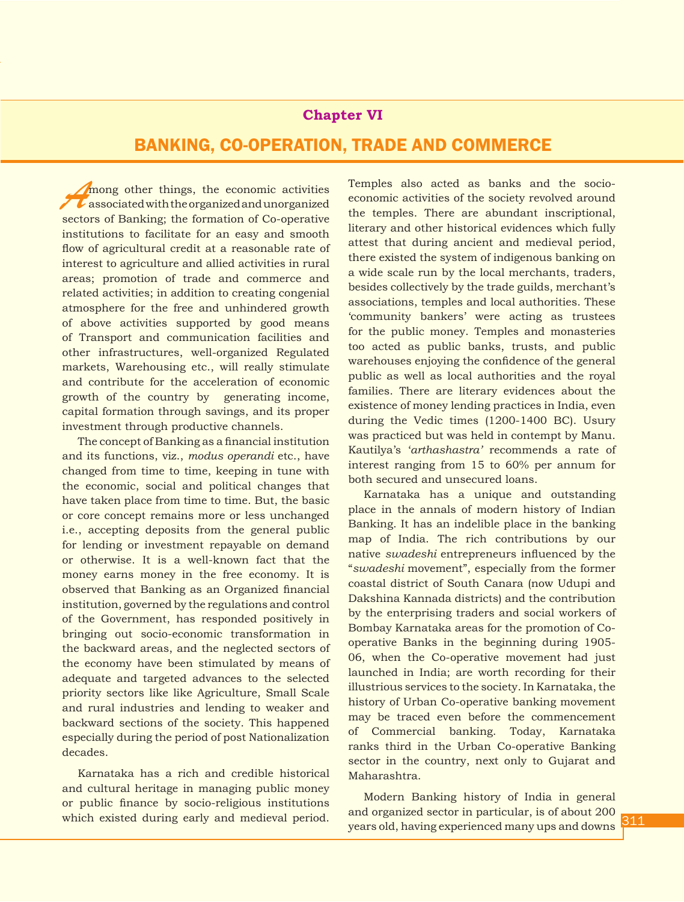# **Chapter VI**

# BANKING, CO-OPERATION, TRADE AND COMMERCE

Among other things, the economic activities<br>
associated with the organized and unorganized<br>
sectors of Banking: the formation of Co-operative sectors of Banking; the formation of Co-operative institutions to facilitate for an easy and smooth flow of agricultural credit at a reasonable rate of interest to agriculture and allied activities in rural areas; promotion of trade and commerce and related activities; in addition to creating congenial atmosphere for the free and unhindered growth of above activities supported by good means of Transport and communication facilities and other infrastructures, well-organized Regulated markets, Warehousing etc., will really stimulate and contribute for the acceleration of economic growth of the country by generating income, capital formation through savings, and its proper investment through productive channels.

The concept of Banking as a financial institution and its functions, viz., *modus operandi* etc., have changed from time to time, keeping in tune with the economic, social and political changes that have taken place from time to time. But, the basic or core concept remains more or less unchanged i.e., accepting deposits from the general public for lending or investment repayable on demand or otherwise. It is a well-known fact that the money earns money in the free economy. It is observed that Banking as an Organized financial institution, governed by the regulations and control of the Government, has responded positively in bringing out socio-economic transformation in the backward areas, and the neglected sectors of the economy have been stimulated by means of adequate and targeted advances to the selected priority sectors like like Agriculture, Small Scale and rural industries and lending to weaker and backward sections of the society. This happened especially during the period of post Nationalization decades.

Karnataka has a rich and credible historical and cultural heritage in managing public money or public finance by socio-religious institutions which existed during early and medieval period. Temples also acted as banks and the socioeconomic activities of the society revolved around the temples. There are abundant inscriptional, literary and other historical evidences which fully attest that during ancient and medieval period, there existed the system of indigenous banking on a wide scale run by the local merchants, traders, besides collectively by the trade guilds, merchant's associations, temples and local authorities. These 'community bankers' were acting as trustees for the public money. Temples and monasteries too acted as public banks, trusts, and public warehouses enjoying the confidence of the general public as well as local authorities and the royal families. There are literary evidences about the existence of money lending practices in India, even during the Vedic times (1200-1400 BC). Usury was practiced but was held in contempt by Manu. Kautilya's '*arthashastra'* recommends a rate of interest ranging from 15 to 60% per annum for both secured and unsecured loans.

Karnataka has a unique and outstanding place in the annals of modern history of Indian Banking. It has an indelible place in the banking map of India. The rich contributions by our native *swadeshi* entrepreneurs influenced by the "*swadeshi* movement", especially from the former coastal district of South Canara (now Udupi and Dakshina Kannada districts) and the contribution by the enterprising traders and social workers of Bombay Karnataka areas for the promotion of Cooperative Banks in the beginning during 1905- 06, when the Co-operative movement had just launched in India; are worth recording for their illustrious services to the society. In Karnataka, the history of Urban Co-operative banking movement may be traced even before the commencement of Commercial banking. Today, Karnataka ranks third in the Urban Co-operative Banking sector in the country, next only to Gujarat and Maharashtra.

Modern Banking history of India in general and organized sector in particular, is of about 200 years old, having experienced many ups and downs Y introduction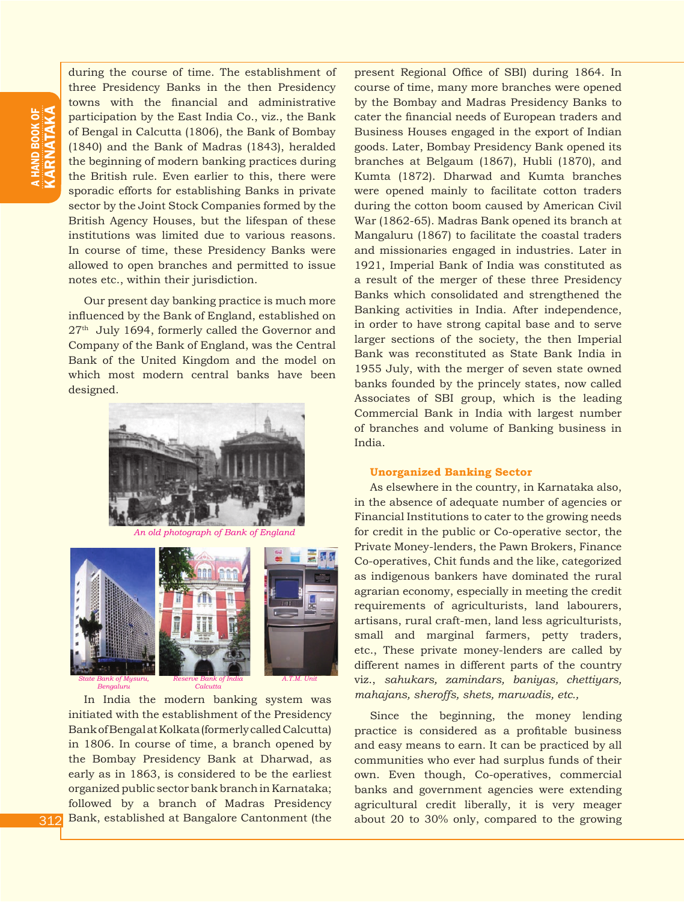during the course of time. The establishment of three Presidency Banks in the then Presidency towns with the financial and administrative participation by the East India Co., viz., the Bank of Bengal in Calcutta (1806), the Bank of Bombay (1840) and the Bank of Madras (1843), heralded the beginning of modern banking practices during the British rule. Even earlier to this, there were sporadic efforts for establishing Banks in private sector by the Joint Stock Companies formed by the British Agency Houses, but the lifespan of these institutions was limited due to various reasons. In course of time, these Presidency Banks were allowed to open branches and permitted to issue notes etc., within their jurisdiction.

Our present day banking practice is much more influenced by the Bank of England, established on 27th July 1694, formerly called the Governor and Company of the Bank of England, was the Central Bank of the United Kingdom and the model on which most modern central banks have been designed.



*An old photograph of Bank of England*



In India the modern banking system was initiated with the establishment of the Presidency Bank of Bengal at Kolkata (formerly called Calcutta) in 1806. In course of time, a branch opened by the Bombay Presidency Bank at Dharwad, as early as in 1863, is considered to be the earliest organized public sector bank branch in Karnataka; followed by a branch of Madras Presidency Bank, established at Bangalore Cantonment (the present Regional Office of SBI) during 1864. In course of time, many more branches were opened by the Bombay and Madras Presidency Banks to cater the financial needs of European traders and Business Houses engaged in the export of Indian goods. Later, Bombay Presidency Bank opened its branches at Belgaum (1867), Hubli (1870), and Kumta (1872). Dharwad and Kumta branches were opened mainly to facilitate cotton traders during the cotton boom caused by American Civil War (1862-65). Madras Bank opened its branch at Mangaluru (1867) to facilitate the coastal traders and missionaries engaged in industries. Later in 1921, Imperial Bank of India was constituted as a result of the merger of these three Presidency Banks which consolidated and strengthened the Banking activities in India. After independence, in order to have strong capital base and to serve larger sections of the society, the then Imperial Bank was reconstituted as State Bank India in 1955 July, with the merger of seven state owned banks founded by the princely states, now called Associates of SBI group, which is the leading Commercial Bank in India with largest number of branches and volume of Banking business in India.

### **Unorganized Banking Sector**

As elsewhere in the country, in Karnataka also, in the absence of adequate number of agencies or Financial Institutions to cater to the growing needs for credit in the public or Co-operative sector, the Private Money-lenders, the Pawn Brokers, Finance Co-operatives, Chit funds and the like, categorized as indigenous bankers have dominated the rural agrarian economy, especially in meeting the credit requirements of agriculturists, land labourers, artisans, rural craft-men, land less agriculturists, small and marginal farmers, petty traders, etc., These private money-lenders are called by different names in different parts of the country viz., *sahukars, zamindars, baniyas, chettiyars, mahajans, sheroffs, shets, marwadis, etc.,*

Since the beginning, the money lending practice is considered as a profitable business and easy means to earn. It can be practiced by all communities who ever had surplus funds of their own. Even though, Co-operatives, commercial banks and government agencies were extending agricultural credit liberally, it is very meager about 20 to 30% only, compared to the growing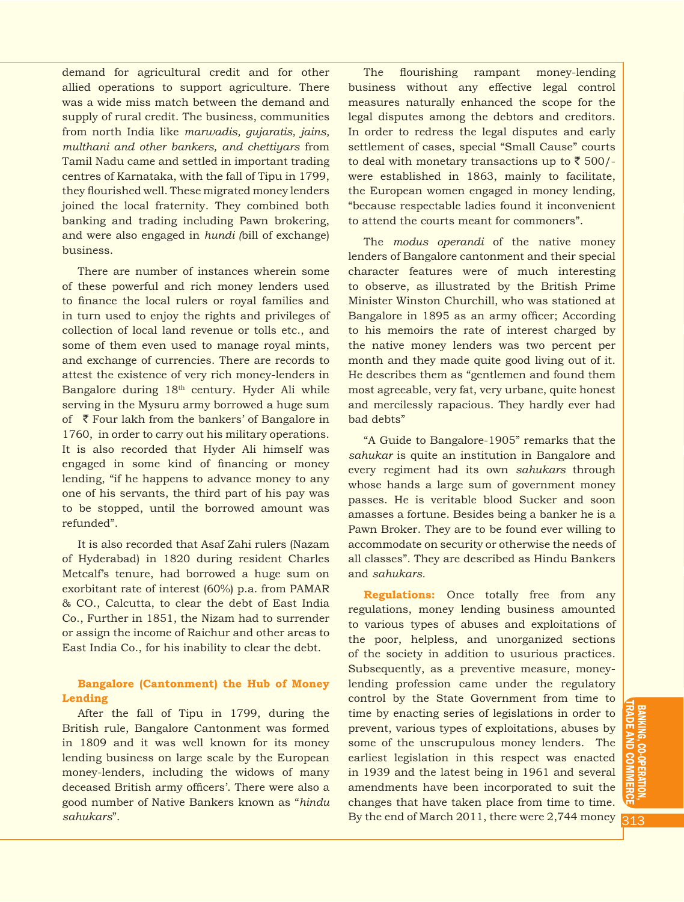demand for agricultural credit and for other allied operations to support agriculture. There was a wide miss match between the demand and supply of rural credit. The business, communities from north India like *marwadis, gujaratis, jains, multhani and other bankers, and chettiyars* from Tamil Nadu came and settled in important trading centres of Karnataka, with the fall of Tipu in 1799, they flourished well. These migrated money lenders joined the local fraternity. They combined both banking and trading including Pawn brokering, and were also engaged in *hundi (*bill of exchange) business.

There are number of instances wherein some of these powerful and rich money lenders used to finance the local rulers or royal families and in turn used to enjoy the rights and privileges of collection of local land revenue or tolls etc., and some of them even used to manage royal mints, and exchange of currencies. There are records to attest the existence of very rich money-lenders in Bangalore during 18th century. Hyder Ali while serving in the Mysuru army borrowed a huge sum of  $\bar{\tau}$  Four lakh from the bankers' of Bangalore in 1760, in order to carry out his military operations. It is also recorded that Hyder Ali himself was engaged in some kind of financing or money lending, "if he happens to advance money to any one of his servants, the third part of his pay was to be stopped, until the borrowed amount was refunded".

It is also recorded that Asaf Zahi rulers (Nazam of Hyderabad) in 1820 during resident Charles Metcalf's tenure, had borrowed a huge sum on exorbitant rate of interest (60%) p.a. from PAMAR & CO., Calcutta, to clear the debt of East India Co., Further in 1851, the Nizam had to surrender or assign the income of Raichur and other areas to East India Co., for his inability to clear the debt.

## **Bangalore (Cantonment) the Hub of Money Lending**

After the fall of Tipu in 1799, during the British rule, Bangalore Cantonment was formed in 1809 and it was well known for its money lending business on large scale by the European money-lenders, including the widows of many deceased British army officers'. There were also a good number of Native Bankers known as "*hindu sahukars*".

The flourishing rampant money-lending business without any effective legal control measures naturally enhanced the scope for the legal disputes among the debtors and creditors. In order to redress the legal disputes and early settlement of cases, special "Small Cause" courts to deal with monetary transactions up to  $\bar{\tau}$  500/were established in 1863, mainly to facilitate, the European women engaged in money lending, "because respectable ladies found it inconvenient to attend the courts meant for commoners".

The *modus operandi* of the native money lenders of Bangalore cantonment and their special character features were of much interesting to observe, as illustrated by the British Prime Minister Winston Churchill, who was stationed at Bangalore in 1895 as an army officer; According to his memoirs the rate of interest charged by the native money lenders was two percent per month and they made quite good living out of it. He describes them as "gentlemen and found them most agreeable, very fat, very urbane, quite honest and mercilessly rapacious. They hardly ever had bad debts"

"A Guide to Bangalore-1905" remarks that the *sahukar* is quite an institution in Bangalore and every regiment had its own *sahukars* through whose hands a large sum of government money passes. He is veritable blood Sucker and soon amasses a fortune. Besides being a banker he is a Pawn Broker. They are to be found ever willing to accommodate on security or otherwise the needs of all classes". They are described as Hindu Bankers and *sahukars.*

**Regulations:** Once totally free from any regulations, money lending business amounted to various types of abuses and exploitations of the poor, helpless, and unorganized sections of the society in addition to usurious practices. Subsequently, as a preventive measure, moneylending profession came under the regulatory control by the State Government from time to time by enacting series of legislations in order to prevent, various types of exploitations, abuses by some of the unscrupulous money lenders. The earliest legislation in this respect was enacted in 1939 and the latest being in 1961 and several amendments have been incorporated to suit the changes that have taken place from time to time. By the end of March 2011, there were 2,744 money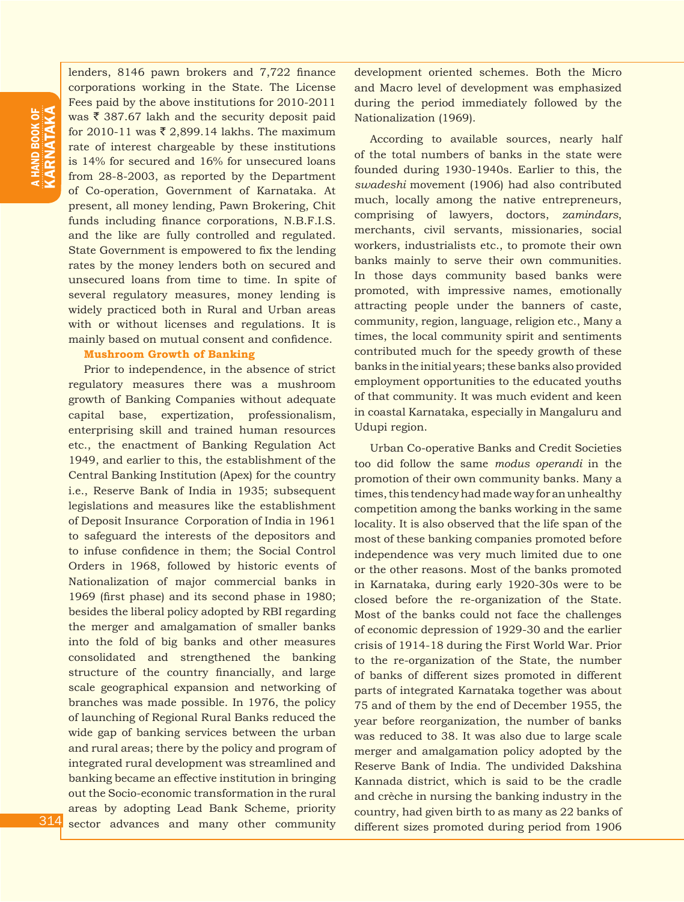lenders, 8146 pawn brokers and 7,722 finance corporations working in the State. The License Fees paid by the above institutions for 2010-2011 was  $\bar{\tau}$  387.67 lakh and the security deposit paid for 2010-11 was  $\bar{\tau}$  2,899.14 lakhs. The maximum rate of interest chargeable by these institutions is 14% for secured and 16% for unsecured loans from 28-8-2003, as reported by the Department of Co-operation, Government of Karnataka. At present, all money lending, Pawn Brokering, Chit funds including finance corporations, N.B.F.I.S. and the like are fully controlled and regulated. State Government is empowered to fix the lending rates by the money lenders both on secured and unsecured loans from time to time. In spite of several regulatory measures, money lending is widely practiced both in Rural and Urban areas with or without licenses and regulations. It is mainly based on mutual consent and confidence.

#### **Mushroom Growth of Banking**

Prior to independence, in the absence of strict regulatory measures there was a mushroom growth of Banking Companies without adequate capital base, expertization, professionalism, enterprising skill and trained human resources etc., the enactment of Banking Regulation Act 1949, and earlier to this, the establishment of the Central Banking Institution (Apex) for the country i.e., Reserve Bank of India in 1935; subsequent legislations and measures like the establishment of Deposit Insurance Corporation of India in 1961 to safeguard the interests of the depositors and to infuse confidence in them; the Social Control Orders in 1968, followed by historic events of Nationalization of major commercial banks in 1969 (first phase) and its second phase in 1980; besides the liberal policy adopted by RBI regarding the merger and amalgamation of smaller banks into the fold of big banks and other measures consolidated and strengthened the banking structure of the country financially, and large scale geographical expansion and networking of branches was made possible. In 1976, the policy of launching of Regional Rural Banks reduced the wide gap of banking services between the urban and rural areas; there by the policy and program of integrated rural development was streamlined and banking became an effective institution in bringing out the Socio-economic transformation in the rural areas by adopting Lead Bank Scheme, priority sector advances and many other community development oriented schemes. Both the Micro and Macro level of development was emphasized during the period immediately followed by the Nationalization (1969).

According to available sources, nearly half of the total numbers of banks in the state were founded during 1930-1940s. Earlier to this, the *swadeshi* movement (1906) had also contributed much, locally among the native entrepreneurs, comprising of lawyers, doctors, *zamindars*, merchants, civil servants, missionaries, social workers, industrialists etc., to promote their own banks mainly to serve their own communities. In those days community based banks were promoted, with impressive names, emotionally attracting people under the banners of caste, community, region, language, religion etc., Many a times, the local community spirit and sentiments contributed much for the speedy growth of these banks in the initial years; these banks also provided employment opportunities to the educated youths of that community. It was much evident and keen in coastal Karnataka, especially in Mangaluru and Udupi region.

Urban Co-operative Banks and Credit Societies too did follow the same *modus operandi* in the promotion of their own community banks. Many a times, this tendency had made way for an unhealthy competition among the banks working in the same locality. It is also observed that the life span of the most of these banking companies promoted before independence was very much limited due to one or the other reasons. Most of the banks promoted in Karnataka, during early 1920-30s were to be closed before the re-organization of the State. Most of the banks could not face the challenges of economic depression of 1929-30 and the earlier crisis of 1914-18 during the First World War. Prior to the re-organization of the State, the number of banks of different sizes promoted in different parts of integrated Karnataka together was about 75 and of them by the end of December 1955, the year before reorganization, the number of banks was reduced to 38. It was also due to large scale merger and amalgamation policy adopted by the Reserve Bank of India. The undivided Dakshina Kannada district, which is said to be the cradle and crèche in nursing the banking industry in the country, had given birth to as many as 22 banks of different sizes promoted during period from 1906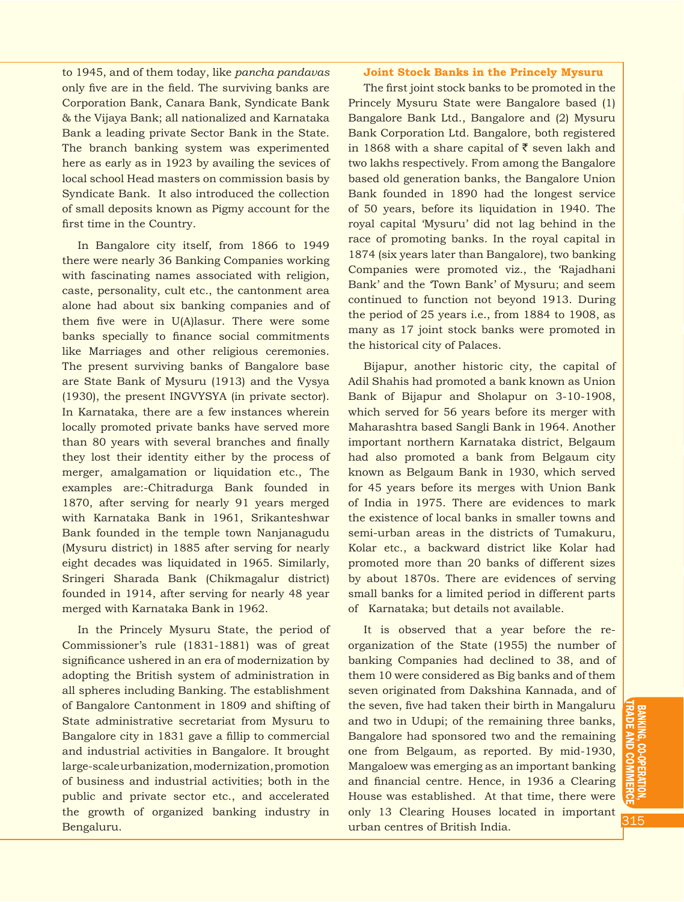to 1945, and of them today, like *pancha pandavas*  only five are in the field. The surviving banks are Corporation Bank, Canara Bank, Syndicate Bank & the Vijaya Bank; all nationalized and Karnataka Bank a leading private Sector Bank in the State. The branch banking system was experimented here as early as in 1923 by availing the sevices of local school Head masters on commission basis by Syndicate Bank. It also introduced the collection of small deposits known as Pigmy account for the first time in the Country.

In Bangalore city itself, from 1866 to 1949 there were nearly 36 Banking Companies working with fascinating names associated with religion, caste, personality, cult etc., the cantonment area alone had about six banking companies and of them five were in U(A)lasur. There were some banks specially to finance social commitments like Marriages and other religious ceremonies. The present surviving banks of Bangalore base are State Bank of Mysuru (1913) and the Vysya (1930), the present INGVYSYA (in private sector). In Karnataka, there are a few instances wherein locally promoted private banks have served more than 80 years with several branches and finally they lost their identity either by the process of merger, amalgamation or liquidation etc., The examples are:-Chitradurga Bank founded in 1870, after serving for nearly 91 years merged with Karnataka Bank in 1961, Srikanteshwar Bank founded in the temple town Nanjanagudu (Mysuru district) in 1885 after serving for nearly eight decades was liquidated in 1965. Similarly, Sringeri Sharada Bank (Chikmagalur district) founded in 1914, after serving for nearly 48 year merged with Karnataka Bank in 1962.

In the Princely Mysuru State, the period of Commissioner's rule (1831-1881) was of great significance ushered in an era of modernization by adopting the British system of administration in all spheres including Banking. The establishment of Bangalore Cantonment in 1809 and shifting of State administrative secretariat from Mysuru to Bangalore city in 1831 gave a fillip to commercial and industrial activities in Bangalore. It brought large-scale urbanization, modernization, promotion of business and industrial activities; both in the public and private sector etc., and accelerated the growth of organized banking industry in Bengaluru.

#### **Joint Stock Banks in the Princely Mysuru**

The first joint stock banks to be promoted in the Princely Mysuru State were Bangalore based (1) Bangalore Bank Ltd., Bangalore and (2) Mysuru Bank Corporation Ltd. Bangalore, both registered in 1868 with a share capital of  $\bar{\tau}$  seven lakh and two lakhs respectively. From among the Bangalore based old generation banks, the Bangalore Union Bank founded in 1890 had the longest service of 50 years, before its liquidation in 1940. The royal capital 'Mysuru' did not lag behind in the race of promoting banks. In the royal capital in 1874 (six years later than Bangalore), two banking Companies were promoted viz., the 'Rajadhani Bank' and the 'Town Bank' of Mysuru; and seem continued to function not beyond 1913. During the period of 25 years i.e., from 1884 to 1908, as many as 17 joint stock banks were promoted in the historical city of Palaces.

Bijapur, another historic city, the capital of Adil Shahis had promoted a bank known as Union Bank of Bijapur and Sholapur on 3-10-1908, which served for 56 years before its merger with Maharashtra based Sangli Bank in 1964. Another important northern Karnataka district, Belgaum had also promoted a bank from Belgaum city known as Belgaum Bank in 1930, which served for 45 years before its merges with Union Bank of India in 1975. There are evidences to mark the existence of local banks in smaller towns and semi-urban areas in the districts of Tumakuru, Kolar etc., a backward district like Kolar had promoted more than 20 banks of different sizes by about 1870s. There are evidences of serving small banks for a limited period in different parts of Karnataka; but details not available.

It is observed that a year before the reorganization of the State (1955) the number of banking Companies had declined to 38, and of them 10 were considered as Big banks and of them seven originated from Dakshina Kannada, and of the seven, five had taken their birth in Mangaluru and two in Udupi; of the remaining three banks, Bangalore had sponsored two and the remaining one from Belgaum, as reported. By mid-1930, Mangaloew was emerging as an important banking and financial centre. Hence, in 1936 a Clearing House was established. At that time, there were only 13 Clearing Houses located in important urban centres of British India.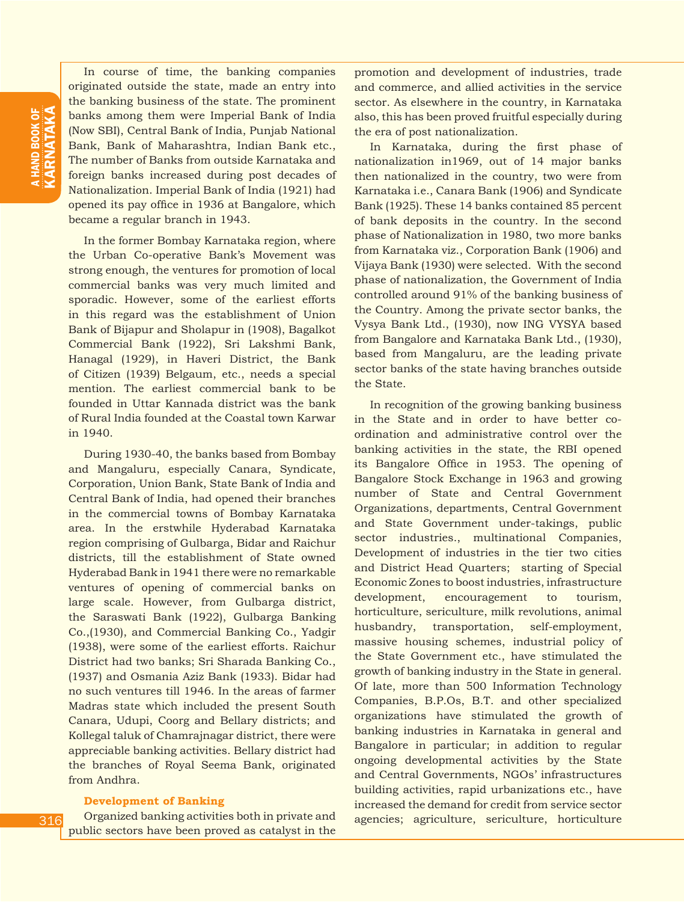In course of time, the banking companies originated outside the state, made an entry into the banking business of the state. The prominent banks among them were Imperial Bank of India (Now SBI), Central Bank of India, Punjab National Bank, Bank of Maharashtra, Indian Bank etc., The number of Banks from outside Karnataka and foreign banks increased during post decades of Nationalization. Imperial Bank of India (1921) had opened its pay office in 1936 at Bangalore, which became a regular branch in 1943.

In the former Bombay Karnataka region, where the Urban Co-operative Bank's Movement was strong enough, the ventures for promotion of local commercial banks was very much limited and sporadic. However, some of the earliest efforts in this regard was the establishment of Union Bank of Bijapur and Sholapur in (1908), Bagalkot Commercial Bank (1922), Sri Lakshmi Bank, Hanagal (1929), in Haveri District, the Bank of Citizen (1939) Belgaum, etc., needs a special mention. The earliest commercial bank to be founded in Uttar Kannada district was the bank of Rural India founded at the Coastal town Karwar in 1940.

During 1930-40, the banks based from Bombay and Mangaluru, especially Canara, Syndicate, Corporation, Union Bank, State Bank of India and Central Bank of India, had opened their branches in the commercial towns of Bombay Karnataka area. In the erstwhile Hyderabad Karnataka region comprising of Gulbarga, Bidar and Raichur districts, till the establishment of State owned Hyderabad Bank in 1941 there were no remarkable ventures of opening of commercial banks on large scale. However, from Gulbarga district, the Saraswati Bank (1922), Gulbarga Banking Co.,(1930), and Commercial Banking Co., Yadgir (1938), were some of the earliest efforts. Raichur District had two banks; Sri Sharada Banking Co., (1937) and Osmania Aziz Bank (1933). Bidar had no such ventures till 1946. In the areas of farmer Madras state which included the present South Canara, Udupi, Coorg and Bellary districts; and Kollegal taluk of Chamrajnagar district, there were appreciable banking activities. Bellary district had the branches of Royal Seema Bank, originated from Andhra.

#### **Development of Banking**

Organized banking activities both in private and public sectors have been proved as catalyst in the promotion and development of industries, trade and commerce, and allied activities in the service sector. As elsewhere in the country, in Karnataka also, this has been proved fruitful especially during the era of post nationalization.

In Karnataka, during the first phase of nationalization in1969, out of 14 major banks then nationalized in the country, two were from Karnataka i.e., Canara Bank (1906) and Syndicate Bank (1925). These 14 banks contained 85 percent of bank deposits in the country. In the second phase of Nationalization in 1980, two more banks from Karnataka viz., Corporation Bank (1906) and Vijaya Bank (1930) were selected. With the second phase of nationalization, the Government of India controlled around 91% of the banking business of the Country. Among the private sector banks, the Vysya Bank Ltd., (1930), now ING VYSYA based from Bangalore and Karnataka Bank Ltd., (1930), based from Mangaluru, are the leading private sector banks of the state having branches outside the State.

In recognition of the growing banking business in the State and in order to have better coordination and administrative control over the banking activities in the state, the RBI opened its Bangalore Office in 1953. The opening of Bangalore Stock Exchange in 1963 and growing number of State and Central Government Organizations, departments, Central Government and State Government under-takings, public sector industries., multinational Companies, Development of industries in the tier two cities and District Head Quarters; starting of Special Economic Zones to boost industries, infrastructure development, encouragement to tourism, horticulture, sericulture, milk revolutions, animal husbandry, transportation, self-employment, massive housing schemes, industrial policy of the State Government etc., have stimulated the growth of banking industry in the State in general. Of late, more than 500 Information Technology Companies, B.P.Os, B.T. and other specialized organizations have stimulated the growth of banking industries in Karnataka in general and Bangalore in particular; in addition to regular ongoing developmental activities by the State and Central Governments, NGOs' infrastructures building activities, rapid urbanizations etc., have increased the demand for credit from service sector agencies; agriculture, sericulture, horticulture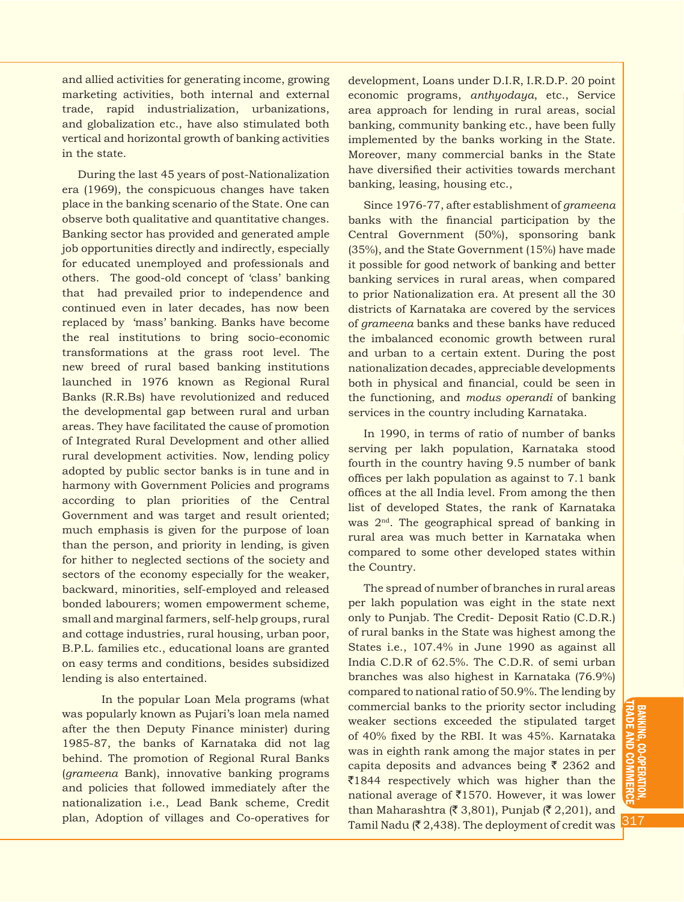and allied activities for generating income, growing marketing activities, both internal and external trade, rapid industrialization, urbanizations, and globalization etc., have also stimulated both vertical and horizontal growth of banking activities in the state.

During the last 45 years of post-Nationalization era (1969), the conspicuous changes have taken place in the banking scenario of the State. One can observe both qualitative and quantitative changes. Banking sector has provided and generated ample job opportunities directly and indirectly, especially for educated unemployed and professionals and others. The good-old concept of 'class' banking that had prevailed prior to independence and continued even in later decades, has now been replaced by 'mass' banking. Banks have become the real institutions to bring socio-economic transformations at the grass root level. The new breed of rural based banking institutions launched in 1976 known as Regional Rural Banks (R.R.Bs) have revolutionized and reduced the developmental gap between rural and urban areas. They have facilitated the cause of promotion of Integrated Rural Development and other allied rural development activities. Now, lending policy adopted by public sector banks is in tune and in harmony with Government Policies and programs according to plan priorities of the Central Government and was target and result oriented; much emphasis is given for the purpose of loan than the person, and priority in lending, is given for hither to neglected sections of the society and sectors of the economy especially for the weaker, backward, minorities, self-employed and released bonded labourers; women empowerment scheme, small and marginal farmers, self-help groups, rural and cottage industries, rural housing, urban poor, B.P.L. families etc., educational loans are granted on easy terms and conditions, besides subsidized lending is also entertained.

In the popular Loan Mela programs (what was popularly known as Pujari's loan mela named after the then Deputy Finance minister) during 1985-87, the banks of Karnataka did not lag behind. The promotion of Regional Rural Banks (*grameena* Bank), innovative banking programs and policies that followed immediately after the nationalization i.e., Lead Bank scheme, Credit plan, Adoption of villages and Co-operatives for

development, Loans under D.I.R, I.R.D.P. 20 point economic programs, *anthyodaya*, etc., Service area approach for lending in rural areas, social banking, community banking etc., have been fully implemented by the banks working in the State. Moreover, many commercial banks in the State have diversified their activities towards merchant banking, leasing, housing etc.,

Since 1976-77, after establishment of *grameena* banks with the financial participation by the Central Government (50%), sponsoring bank (35%), and the State Government (15%) have made it possible for good network of banking and better banking services in rural areas, when compared to prior Nationalization era. At present all the 30 districts of Karnataka are covered by the services of *grameena* banks and these banks have reduced the imbalanced economic growth between rural and urban to a certain extent. During the post nationalization decades, appreciable developments both in physical and financial, could be seen in the functioning, and *modus operandi* of banking services in the country including Karnataka.

In 1990, in terms of ratio of number of banks serving per lakh population, Karnataka stood fourth in the country having 9.5 number of bank offices per lakh population as against to 7.1 bank offices at the all India level. From among the then list of developed States, the rank of Karnataka was  $2<sup>nd</sup>$ . The geographical spread of banking in rural area was much better in Karnataka when compared to some other developed states within the Country.

The spread of number of branches in rural areas per lakh population was eight in the state next only to Punjab. The Credit- Deposit Ratio (C.D.R.) of rural banks in the State was highest among the States i.e., 107.4% in June 1990 as against all India C.D.R of 62.5%. The C.D.R. of semi urban branches was also highest in Karnataka (76.9%) compared to national ratio of 50.9%. The lending by commercial banks to the priority sector including weaker sections exceeded the stipulated target of 40% fixed by the RBI. It was 45%. Karnataka was in eighth rank among the major states in per capita deposits and advances being  $\bar{\tau}$  2362 and  $\overline{\xi}$ 1844 respectively which was higher than the national average of  $\text{\texttt{[1570]}}$ . However, it was lower than Maharashtra ( $\bar{z}$  3,801), Punjab ( $\bar{z}$  2,201), and Tamil Nadu ( $\bar{z}$  2,438). The deployment of credit was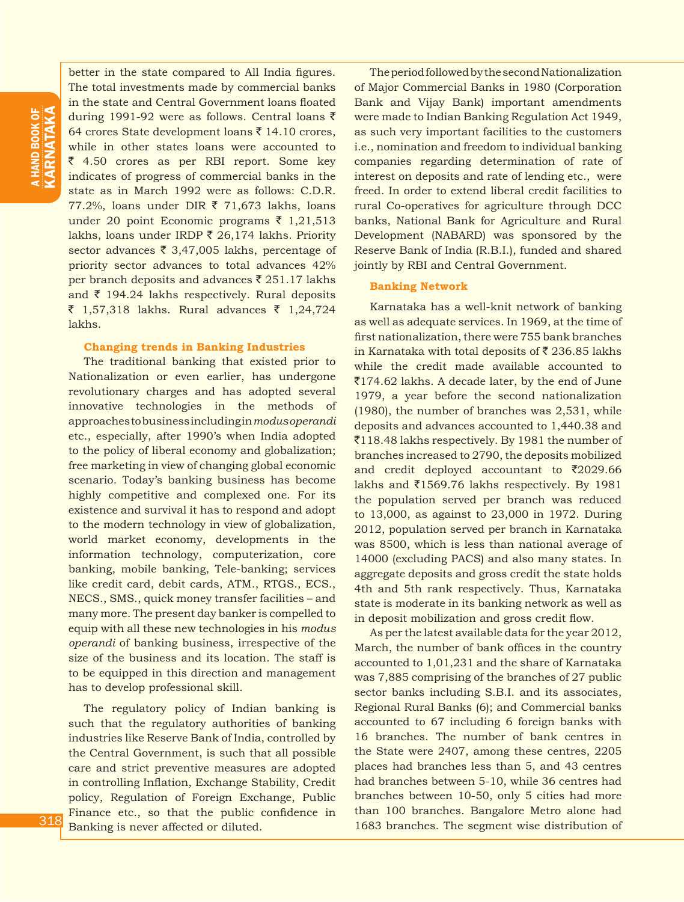better in the state compared to All India figures. The total investments made by commercial banks in the state and Central Government loans floated during 1991-92 were as follows. Central loans  $\bar{z}$ 64 crores State development loans ₹ 14.10 crores, while in other states loans were accounted to  $\overline{\xi}$  4.50 crores as per RBI report. Some key indicates of progress of commercial banks in the state as in March 1992 were as follows: C.D.R.  $77.2\%$ , loans under DIR  $\bar{\xi}$  71,673 lakhs, loans under 20 point Economic programs  $\bar{\tau}$  1,21,513 lakhs, loans under IRDP  $\bar{\xi}$  26,174 lakhs. Priority sector advances  $\bar{\tau}$  3,47,005 lakhs, percentage of priority sector advances to total advances 42% per branch deposits and advances  $\bar{\zeta}$  251.17 lakhs and  $\bar{\tau}$  194.24 lakhs respectively. Rural deposits ₹ 1,57,318 lakhs. Rural advances ₹ 1,24,724 lakhs.

#### **Changing trends in Banking Industries**

The traditional banking that existed prior to Nationalization or even earlier, has undergone revolutionary charges and has adopted several innovative technologies in the methods of approaches to business including in *modus operandi*  etc., especially, after 1990's when India adopted to the policy of liberal economy and globalization; free marketing in view of changing global economic scenario. Today's banking business has become highly competitive and complexed one. For its existence and survival it has to respond and adopt to the modern technology in view of globalization, world market economy, developments in the information technology, computerization, core banking, mobile banking, Tele-banking; services like credit card, debit cards, ATM., RTGS., ECS., NECS., SMS., quick money transfer facilities – and many more. The present day banker is compelled to equip with all these new technologies in his *modus operandi* of banking business, irrespective of the size of the business and its location. The staff is to be equipped in this direction and management has to develop professional skill.

The regulatory policy of Indian banking is such that the regulatory authorities of banking industries like Reserve Bank of India, controlled by the Central Government, is such that all possible care and strict preventive measures are adopted in controlling Inflation, Exchange Stability, Credit policy, Regulation of Foreign Exchange, Public Finance etc., so that the public confidence in Banking is never affected or diluted.

The period followed by the second Nationalization of Major Commercial Banks in 1980 (Corporation Bank and Vijay Bank) important amendments were made to Indian Banking Regulation Act 1949, as such very important facilities to the customers i.e., nomination and freedom to individual banking companies regarding determination of rate of interest on deposits and rate of lending etc., were freed. In order to extend liberal credit facilities to rural Co-operatives for agriculture through DCC banks, National Bank for Agriculture and Rural Development (NABARD) was sponsored by the Reserve Bank of India (R.B.I.), funded and shared jointly by RBI and Central Government.

## **Banking Network**

Karnataka has a well-knit network of banking as well as adequate services. In 1969, at the time of first nationalization, there were 755 bank branches in Karnataka with total deposits of  $\bar{\zeta}$  236.85 lakhs while the credit made available accounted to  $\overline{5}174.62$  lakhs. A decade later, by the end of June 1979, a year before the second nationalization (1980), the number of branches was 2,531, while deposits and advances accounted to 1,440.38 and  $\overline{5}118.48$  lakhs respectively. By 1981 the number of branches increased to 2790, the deposits mobilized and credit deployed accountant to  $\bar{\tau}$ 2029.66 lakhs and  $\overline{51569.76}$  lakhs respectively. By 1981 the population served per branch was reduced to 13,000, as against to 23,000 in 1972. During 2012, population served per branch in Karnataka was 8500, which is less than national average of 14000 (excluding PACS) and also many states. In aggregate deposits and gross credit the state holds 4th and 5th rank respectively. Thus, Karnataka state is moderate in its banking network as well as in deposit mobilization and gross credit flow.

As per the latest available data for the year 2012, March, the number of bank offices in the country accounted to 1,01,231 and the share of Karnataka was 7,885 comprising of the branches of 27 public sector banks including S.B.I. and its associates, Regional Rural Banks (6); and Commercial banks accounted to 67 including 6 foreign banks with 16 branches. The number of bank centres in the State were 2407, among these centres, 2205 places had branches less than 5, and 43 centres had branches between 5-10, while 36 centres had branches between 10-50, only 5 cities had more than 100 branches. Bangalore Metro alone had 1683 branches. The segment wise distribution of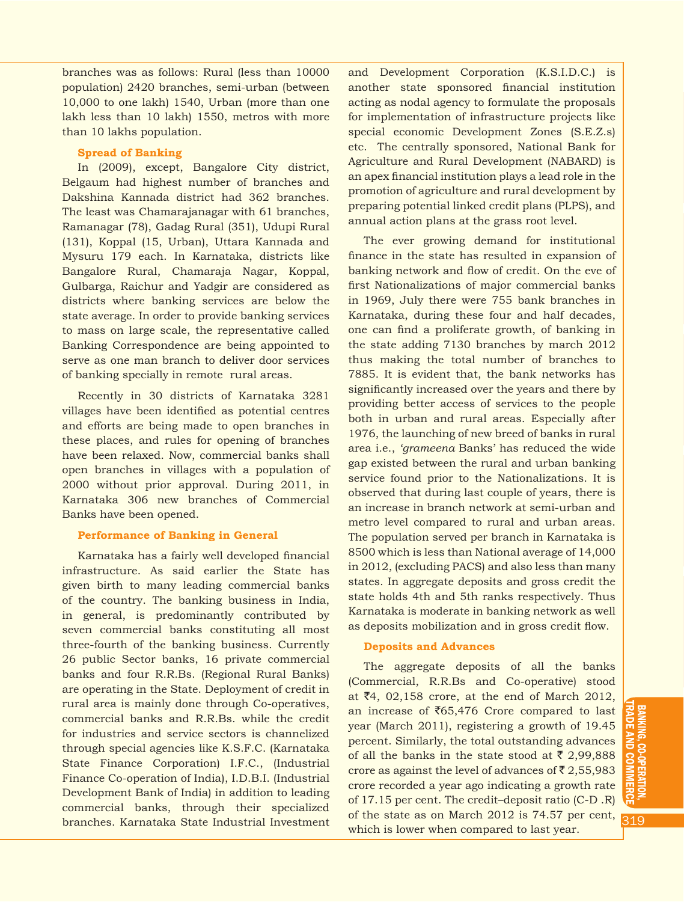branches was as follows: Rural (less than 10000 population) 2420 branches, semi-urban (between 10,000 to one lakh) 1540, Urban (more than one lakh less than 10 lakh) 1550, metros with more than 10 lakhs population.

#### **Spread of Banking**

In (2009), except, Bangalore City district, Belgaum had highest number of branches and Dakshina Kannada district had 362 branches. The least was Chamarajanagar with 61 branches, Ramanagar (78), Gadag Rural (351), Udupi Rural (131), Koppal (15, Urban), Uttara Kannada and Mysuru 179 each. In Karnataka, districts like Bangalore Rural, Chamaraja Nagar, Koppal, Gulbarga, Raichur and Yadgir are considered as districts where banking services are below the state average. In order to provide banking services to mass on large scale, the representative called Banking Correspondence are being appointed to serve as one man branch to deliver door services of banking specially in remote rural areas.

Recently in 30 districts of Karnataka 3281 villages have been identified as potential centres and efforts are being made to open branches in these places, and rules for opening of branches have been relaxed. Now, commercial banks shall open branches in villages with a population of 2000 without prior approval. During 2011, in Karnataka 306 new branches of Commercial Banks have been opened.

#### **Performance of Banking in General**

Karnataka has a fairly well developed financial infrastructure. As said earlier the State has given birth to many leading commercial banks of the country. The banking business in India, in general, is predominantly contributed by seven commercial banks constituting all most three-fourth of the banking business. Currently 26 public Sector banks, 16 private commercial banks and four R.R.Bs. (Regional Rural Banks) are operating in the State. Deployment of credit in rural area is mainly done through Co-operatives, commercial banks and R.R.Bs. while the credit for industries and service sectors is channelized through special agencies like K.S.F.C. (Karnataka State Finance Corporation) I.F.C., (Industrial Finance Co-operation of India), I.D.B.I. (Industrial Development Bank of India) in addition to leading commercial banks, through their specialized branches. Karnataka State Industrial Investment

and Development Corporation (K.S.I.D.C.) is another state sponsored financial institution acting as nodal agency to formulate the proposals for implementation of infrastructure projects like special economic Development Zones (S.E.Z.s) etc. The centrally sponsored, National Bank for Agriculture and Rural Development (NABARD) is an apex financial institution plays a lead role in the promotion of agriculture and rural development by preparing potential linked credit plans (PLPS), and annual action plans at the grass root level.

The ever growing demand for institutional finance in the state has resulted in expansion of banking network and flow of credit. On the eve of first Nationalizations of major commercial banks in 1969, July there were 755 bank branches in Karnataka, during these four and half decades, one can find a proliferate growth, of banking in the state adding 7130 branches by march 2012 thus making the total number of branches to 7885. It is evident that, the bank networks has significantly increased over the years and there by providing better access of services to the people both in urban and rural areas. Especially after 1976, the launching of new breed of banks in rural area i.e., *'grameena* Banks' has reduced the wide gap existed between the rural and urban banking service found prior to the Nationalizations. It is observed that during last couple of years, there is an increase in branch network at semi-urban and metro level compared to rural and urban areas. The population served per branch in Karnataka is 8500 which is less than National average of 14,000 in 2012, (excluding PACS) and also less than many states. In aggregate deposits and gross credit the state holds 4th and 5th ranks respectively. Thus Karnataka is moderate in banking network as well as deposits mobilization and in gross credit flow.

#### **Deposits and Advances**

The aggregate deposits of all the banks (Commercial, R.R.Bs and Co-operative) stood at  $\bar{z}4$ , 02,158 crore, at the end of March 2012, an increase of  $\overline{6}$ 65,476 Crore compared to last year (March 2011), registering a growth of 19.45 percent. Similarly, the total outstanding advances of all the banks in the state stood at  $\bar{\tau}$  2,99,888 crore as against the level of advances of  $\bar{\mathfrak{c}}$  2,55,983 crore recorded a year ago indicating a growth rate of 17.15 per cent. The credit–deposit ratio (C-D .R) of the state as on March 2012 is 74.57 per cent, which is lower when compared to last year.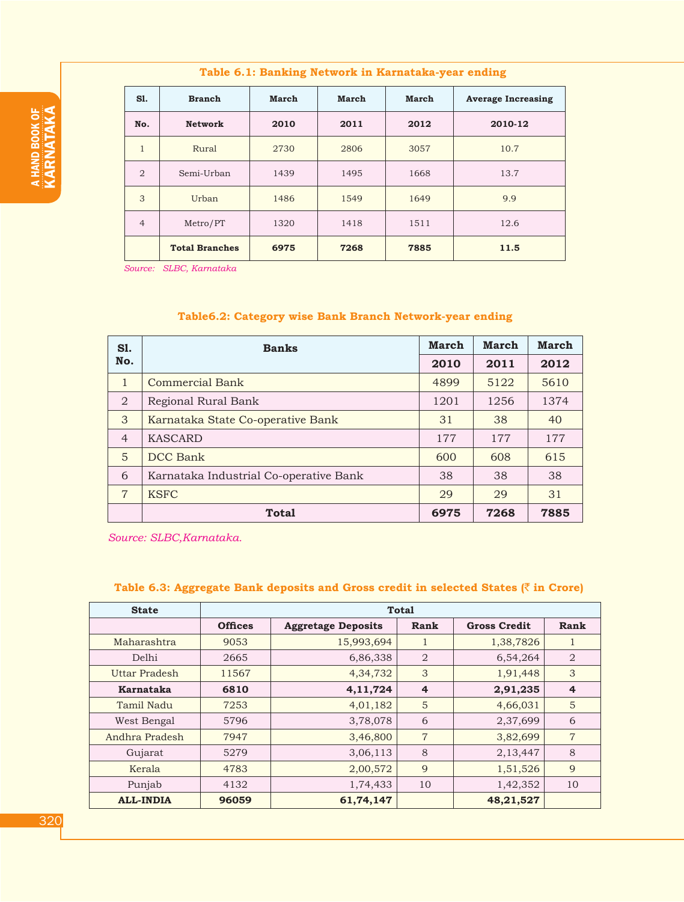| S1.            | <b>Branch</b>         | <b>March</b> | <b>March</b> | March | <b>Average Increasing</b> |
|----------------|-----------------------|--------------|--------------|-------|---------------------------|
| No.            | <b>Network</b>        | 2010         | 2011         | 2012  | 2010-12                   |
| $\mathbf{1}$   | Rural                 | 2730         | 2806         | 3057  | 10.7                      |
| $\overline{2}$ | Semi-Urban            | 1439         | 1495         | 1668  | 13.7                      |
| 3              | Urban                 | 1486         | 1549         | 1649  | 9.9                       |
| $\overline{4}$ | Metro/PT              | 1320         | 1418         | 1511  | 12.6                      |
|                | <b>Total Branches</b> | 6975         | 7268         | 7885  | 11.5                      |

**Table 6.1: Banking Network in Karnataka-year ending**

 *Source: SLBC, Karnataka*

# **Table6.2: Category wise Bank Branch Network-year ending**

| <b>S1.</b>     | <b>Banks</b>                           |      | March | <b>March</b> |
|----------------|----------------------------------------|------|-------|--------------|
| No.            |                                        | 2010 | 2011  | 2012         |
| $\mathbf{1}$   | Commercial Bank                        | 4899 | 5122  | 5610         |
| $\overline{2}$ | Regional Rural Bank                    | 1201 | 1256  | 1374         |
| 3              | Karnataka State Co-operative Bank      | 31   | 38    | 40           |
| $\overline{4}$ | <b>KASCARD</b>                         | 177  | 177   | 177          |
| 5              | DCC Bank                               | 600  | 608   | 615          |
| 6              | Karnataka Industrial Co-operative Bank | 38   | 38    | 38           |
| $\overline{7}$ | <b>KSFC</b>                            | 29   | 29    | 31           |
|                | <b>Total</b>                           | 6975 | 7268  | 7885         |

*Source: SLBC,Karnataka.*

# **Table 6.3: Aggregate Bank deposits and Gross credit in selected States (**` **in Crore)**

| <b>State</b>     |                |                           | <b>Total</b>   |                     |                |
|------------------|----------------|---------------------------|----------------|---------------------|----------------|
|                  | <b>Offices</b> | <b>Aggretage Deposits</b> | <b>Rank</b>    | <b>Gross Credit</b> | Rank           |
| Maharashtra      | 9053           | 15,993,694                |                | 1,38,7826           | 1              |
| Delhi            | 2665           | 6,86,338                  | $\overline{2}$ | 6,54,264            | $\overline{2}$ |
| Uttar Pradesh    | 11567          | 4,34,732                  | 3              | 1,91,448            | 3              |
| Karnataka        | 6810           | 4, 11, 724                | $\overline{4}$ | 2,91,235            | $\overline{4}$ |
| Tamil Nadu       | 7253           | 4,01,182                  | 5              | 4,66,031            | 5              |
| West Bengal      | 5796           | 3,78,078                  | 6              | 2,37,699            | 6              |
| Andhra Pradesh   | 7947           | 3,46,800                  | $\overline{7}$ | 3,82,699            | $\overline{7}$ |
| Gujarat          | 5279           | 3,06,113                  | 8              | 2,13,447            | 8              |
| Kerala           | 4783           | 2,00,572                  | 9              | 1,51,526            | 9              |
| Punjab           | 4132           | 1,74,433                  | 10             | 1,42,352            | 10             |
| <b>ALL-INDIA</b> | 96059          | 61,74,147                 |                | 48,21,527           |                |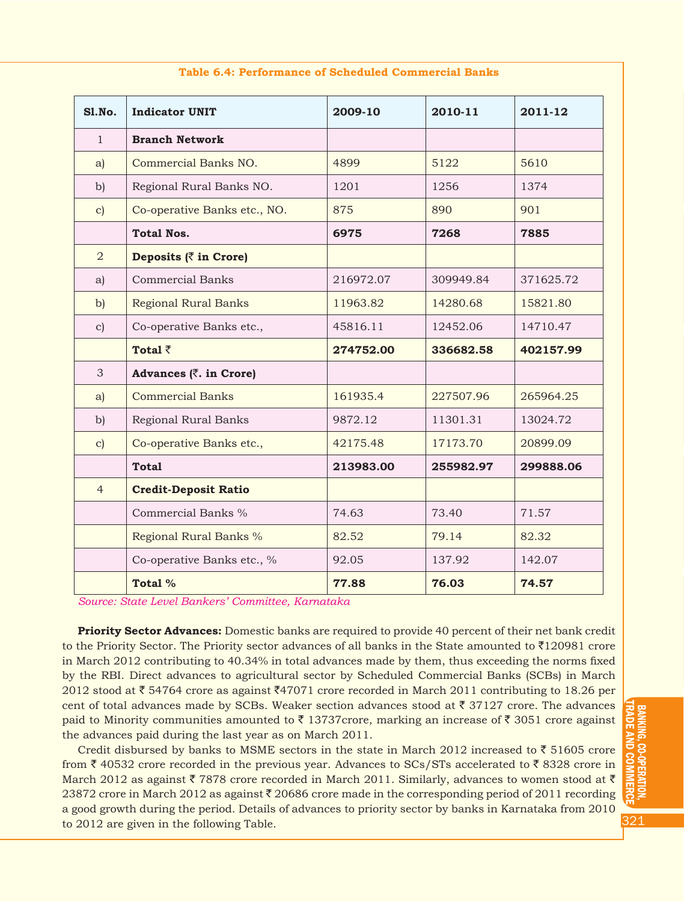| <b>S1.No.</b>  | <b>Indicator UNIT</b>         | 2009-10   | 2010-11   | 2011-12   |
|----------------|-------------------------------|-----------|-----------|-----------|
| $\mathbf{1}$   | <b>Branch Network</b>         |           |           |           |
| a)             | Commercial Banks NO.          | 4899      | 5122      | 5610      |
| $\mathbf{b}$   | Regional Rural Banks NO.      | 1201      | 1256      | 1374      |
| $\mathbf{c}$   | Co-operative Banks etc., NO.  | 875       | 890       | 901       |
|                | <b>Total Nos.</b>             | 6975      | 7268      | 7885      |
| 2              | Deposits $(\bar{z}$ in Crore) |           |           |           |
| a)             | <b>Commercial Banks</b>       | 216972.07 | 309949.84 | 371625.72 |
| $\mathbf{b}$   | <b>Regional Rural Banks</b>   | 11963.82  | 14280.68  | 15821.80  |
| $\mathbf{c})$  | Co-operative Banks etc.,      | 45816.11  | 12452.06  | 14710.47  |
|                | Total $\bar{z}$               | 274752.00 | 336682.58 | 402157.99 |
| 3              | Advances (₹. in Crore)        |           |           |           |
| a)             | <b>Commercial Banks</b>       | 161935.4  | 227507.96 | 265964.25 |
| $\mathbf{b}$   | Regional Rural Banks          | 9872.12   | 11301.31  | 13024.72  |
| $\mathbf{c}$   | Co-operative Banks etc.,      | 42175.48  | 17173.70  | 20899.09  |
|                | <b>Total</b>                  | 213983.00 | 255982.97 | 299888.06 |
| $\overline{4}$ | <b>Credit-Deposit Ratio</b>   |           |           |           |
|                | Commercial Banks %            | 74.63     | 73.40     | 71.57     |
|                | Regional Rural Banks %        | 82.52     | 79.14     | 82.32     |
|                | Co-operative Banks etc., %    | 92.05     | 137.92    | 142.07    |
|                | Total %                       | 77.88     | 76.03     | 74.57     |

#### **Table 6.4: Performance of Scheduled Commercial Banks**

*Source: State Level Bankers' Committee, Karnataka*

**Priority Sector Advances:** Domestic banks are required to provide 40 percent of their net bank credit to the Priority Sector. The Priority sector advances of all banks in the State amounted to  $\bar{\tau}$ 120981 crore in March 2012 contributing to 40.34% in total advances made by them, thus exceeding the norms fixed by the RBI. Direct advances to agricultural sector by Scheduled Commercial Banks (SCBs) in March 2012 stood at  $\bar{\tau}$  54764 crore as against  $\bar{\tau}$ 47071 crore recorded in March 2011 contributing to 18.26 per cent of total advances made by SCBs. Weaker section advances stood at  $\bar{z}$  37127 crore. The advances paid to Minority communities amounted to  $\bar{\tau}$  13737crore, marking an increase of  $\bar{\tau}$  3051 crore against the advances paid during the last year as on March 2011.

Credit disbursed by banks to MSME sectors in the state in March 2012 increased to  $\bar{\tau}$  51605 crore from  $\bar{\zeta}$  40532 crore recorded in the previous year. Advances to SCs/STs accelerated to  $\bar{\zeta}$  8328 crore in March 2012 as against  $\bar{\tau}$  7878 crore recorded in March 2011. Similarly, advances to women stood at  $\bar{\tau}$ 23872 crore in March 2012 as against  $\bar{\tau}$  20686 crore made in the corresponding period of 2011 recording a good growth during the period. Details of advances to priority sector by banks in Karnataka from 2010 to 2012 are given in the following Table.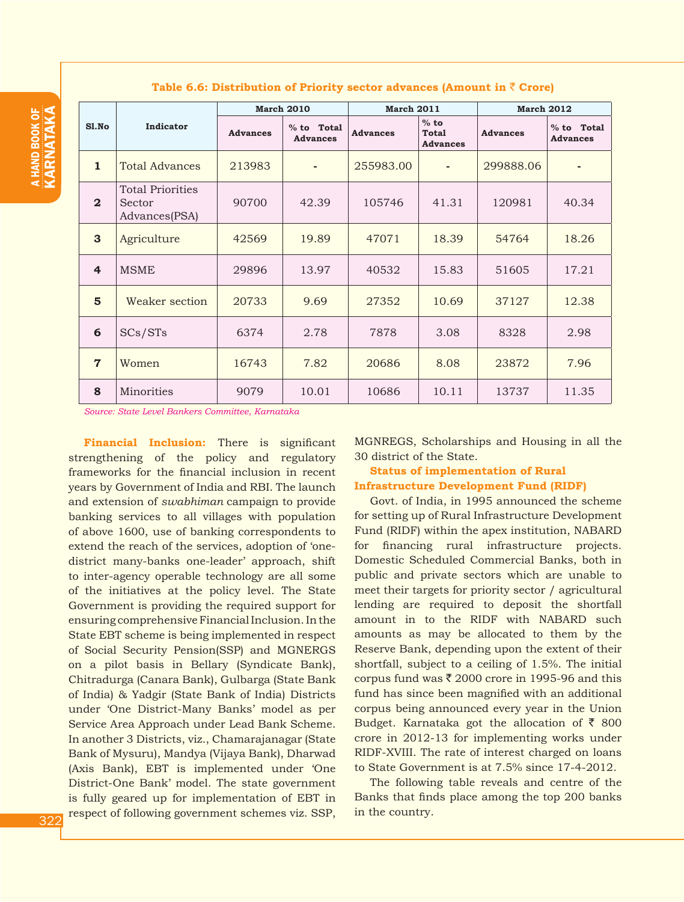|                |                                                    | <b>March 2010</b> |                               | <b>March 2011</b> |                                           | <b>March 2012</b> |                                 |  |
|----------------|----------------------------------------------------|-------------------|-------------------------------|-------------------|-------------------------------------------|-------------------|---------------------------------|--|
| S1.No          | Indicator                                          | <b>Advances</b>   | % to Total<br><b>Advances</b> | <b>Advances</b>   | $%$ to<br><b>Total</b><br><b>Advances</b> | <b>Advances</b>   | $%$ to Total<br><b>Advances</b> |  |
| $\mathbf{1}$   | <b>Total Advances</b>                              | 213983            |                               | 255983.00         |                                           | 299888.06         | ٠                               |  |
| $\mathbf{2}$   | <b>Total Priorities</b><br>Sector<br>Advances(PSA) | 90700             | 42.39                         | 105746            | 41.31                                     | 120981            | 40.34                           |  |
| 3              | Agriculture                                        | 42569             | 19.89                         | 47071             | 18.39                                     | 54764             | 18.26                           |  |
| $\overline{4}$ | <b>MSME</b>                                        | 29896             | 13.97                         | 40532             | 15.83                                     | 51605             | 17.21                           |  |
| $5\phantom{1}$ | Weaker section                                     | 20733             | 9.69                          | 27352             | 10.69                                     | 37127             | 12.38                           |  |
| 6              | SCs/STs                                            | 6374              | 2.78                          | 7878              | 3.08                                      | 8328              | 2.98                            |  |
| $\overline{7}$ | Women                                              | 16743             | 7.82                          | 20686             | 8.08                                      | 23872             | 7.96                            |  |
| 8              | Minorities                                         | 9079              | 10.01                         | 10686             | 10.11                                     | 13737             | 11.35                           |  |

#### **Table 6.6: Distribution of Priority sector advances (Amount in** ` **Crore)**

*Source: State Level Bankers Committee, Karnataka*

**Financial Inclusion:** There is significant strengthening of the policy and regulatory frameworks for the financial inclusion in recent years by Government of India and RBI. The launch and extension of *swabhiman* campaign to provide banking services to all villages with population of above 1600, use of banking correspondents to extend the reach of the services, adoption of 'onedistrict many-banks one-leader' approach, shift to inter-agency operable technology are all some of the initiatives at the policy level. The State Government is providing the required support for ensuring comprehensive Financial Inclusion. In the State EBT scheme is being implemented in respect of Social Security Pension(SSP) and MGNERGS on a pilot basis in Bellary (Syndicate Bank), Chitradurga (Canara Bank), Gulbarga (State Bank of India) & Yadgir (State Bank of India) Districts under 'One District-Many Banks' model as per Service Area Approach under Lead Bank Scheme. In another 3 Districts, viz., Chamarajanagar (State Bank of Mysuru), Mandya (Vijaya Bank), Dharwad (Axis Bank), EBT is implemented under 'One District-One Bank' model. The state government is fully geared up for implementation of EBT in respect of following government schemes viz. SSP,

MGNREGS, Scholarships and Housing in all the 30 district of the State.

# **Status of implementation of Rural Infrastructure Development Fund (RIDF)**

Govt. of India, in 1995 announced the scheme for setting up of Rural Infrastructure Development Fund (RIDF) within the apex institution, NABARD for financing rural infrastructure projects. Domestic Scheduled Commercial Banks, both in public and private sectors which are unable to meet their targets for priority sector / agricultural lending are required to deposit the shortfall amount in to the RIDF with NABARD such amounts as may be allocated to them by the Reserve Bank, depending upon the extent of their shortfall, subject to a ceiling of 1.5%. The initial corpus fund was  $\bar{\xi}$  2000 crore in 1995-96 and this fund has since been magnified with an additional corpus being announced every year in the Union Budget. Karnataka got the allocation of  $\bar{\tau}$  800 crore in 2012-13 for implementing works under RIDF-XVIII. The rate of interest charged on loans to State Government is at 7.5% since 17-4-2012.

The following table reveals and centre of the Banks that finds place among the top 200 banks in the country.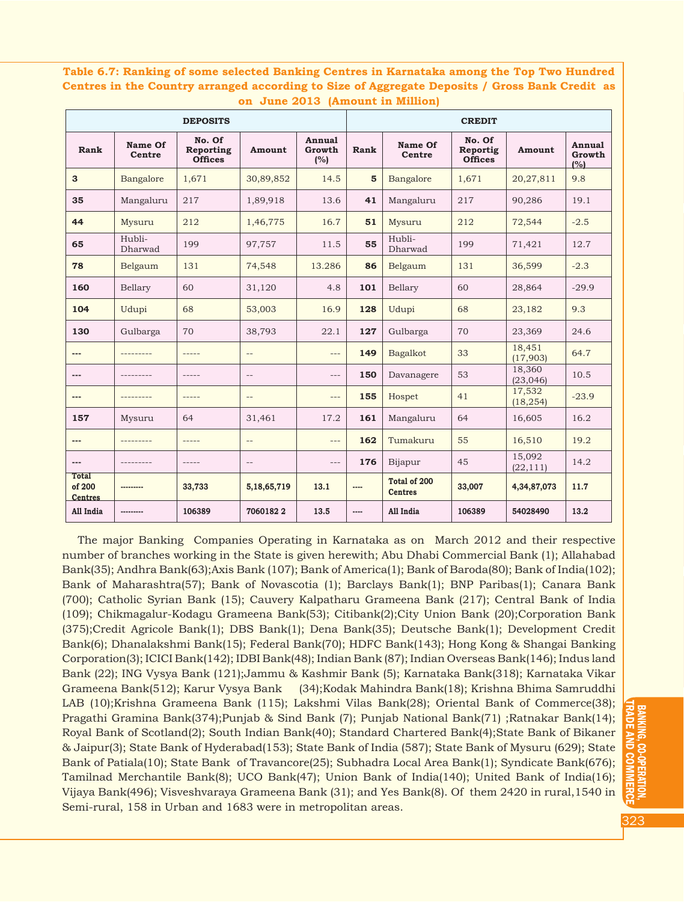**Table 6.7: Ranking of some selected Banking Centres in Karnataka among the Top Two Hundred Centres in the Country arranged according to Size of Aggregate Deposits / Gross Bank Credit as on June 2013 (Amount in Million)**

|                                          | <b>DEPOSITS</b>          |                                       |                          |                         |                | <b>CREDIT</b>                  |                                      |                     |                         |
|------------------------------------------|--------------------------|---------------------------------------|--------------------------|-------------------------|----------------|--------------------------------|--------------------------------------|---------------------|-------------------------|
| Rank                                     | Name Of<br><b>Centre</b> | No. Of<br>Reporting<br><b>Offices</b> | Amount                   | Annual<br>Growth<br>(%) | Rank           | Name Of<br>Centre              | No. Of<br>Reportig<br><b>Offices</b> | Amount              | Annual<br>Growth<br>(%) |
| 3                                        | Bangalore                | 1.671                                 | 30,89,852                | 14.5                    | 5              | Bangalore                      | 1.671                                | 20,27,811           | 9.8                     |
| 35                                       | Mangaluru                | 217                                   | 1,89,918                 | 13.6                    | 41             | Mangaluru                      | 217                                  | 90,286              | 19.1                    |
| 44                                       | Mysuru                   | 212                                   | 1,46,775                 | 16.7                    | 51             | Mysuru                         | 212                                  | 72,544              | $-2.5$                  |
| 65                                       | Hubli-<br>Dharwad        | 199                                   | 97,757                   | 11.5                    | 55             | Hubli-<br>Dharwad              | 199                                  | 71,421              | 12.7                    |
| 78                                       | Belgaum                  | 131                                   | 74,548                   | 13.286                  | 86             | Belgaum                        | 131                                  | 36,599              | $-2.3$                  |
| 160                                      | Bellary                  | 60                                    | 31,120                   | 4.8                     | 101            | Bellary                        | 60                                   | 28,864              | $-29.9$                 |
| 104                                      | Udupi                    | 68                                    | 53,003                   | 16.9                    | 128            | Udupi                          | 68                                   | 23,182              | 9.3                     |
| 130                                      | Gulbarga                 | 70                                    | 38,793                   | 22.1                    | 127            | Gulbarga                       | 70                                   | 23,369              | 24.6                    |
| $---$                                    | ---------                | $- - - - -$                           | $\overline{\phantom{a}}$ | $---$                   | 149            | Bagalkot                       | 33                                   | 18,451<br>(17,903)  | 64.7                    |
| $---$                                    |                          | $--- - -$                             | $-\,-$                   | $---$                   | 150            | Davanagere                     | 53                                   | 18,360<br>(23, 046) | 10.5                    |
| $---$                                    |                          |                                       | $\equiv$ $\equiv$        | $---$                   | 155            | Hospet                         | 41                                   | 17,532<br>(18, 254) | $-23.9$                 |
| 157                                      | Mysuru                   | 64                                    | 31,461                   | 17.2                    | 161            | Mangaluru                      | 64                                   | 16,605              | 16.2                    |
| $---$                                    | ---------                | $- - - - -$                           | $- -$                    | $---$                   | 162            | Tumakuru                       | 55                                   | 16,510              | 19.2                    |
| $---$                                    |                          | $- - - - -$                           | $-\,-$                   | $---$                   | 176            | Bijapur                        | 45                                   | 15,092<br>(22, 111) | 14.2                    |
| <b>Total</b><br>of 200<br><b>Centres</b> | ---------                | 33,733                                | 5,18,65,719              | 13.1                    | $\overline{a}$ | Total of 200<br><b>Centres</b> | 33,007                               | 4,34,87,073         | 11.7                    |
| All India                                | ---------                | 106389                                | 70601822                 | 13.5                    | $---$          | All India                      | 106389                               | 54028490            | 13.2                    |

The major Banking Companies Operating in Karnataka as on March 2012 and their respective number of branches working in the State is given herewith; Abu Dhabi Commercial Bank (1); Allahabad Bank(35); Andhra Bank(63);Axis Bank (107); Bank of America(1); Bank of Baroda(80); Bank of India(102); Bank of Maharashtra(57); Bank of Novascotia (1); Barclays Bank(1); BNP Paribas(1); Canara Bank (700); Catholic Syrian Bank (15); Cauvery Kalpatharu Grameena Bank (217); Central Bank of India (109); Chikmagalur-Kodagu Grameena Bank(53); Citibank(2);City Union Bank (20);Corporation Bank (375);Credit Agricole Bank(1); DBS Bank(1); Dena Bank(35); Deutsche Bank(1); Development Credit Bank(6); Dhanalakshmi Bank(15); Federal Bank(70); HDFC Bank(143); Hong Kong & Shangai Banking Corporation(3); ICICI Bank(142); IDBI Bank(48); Indian Bank (87); Indian Overseas Bank(146); Indus land Bank (22); ING Vysya Bank (121);Jammu & Kashmir Bank (5); Karnataka Bank(318); Karnataka Vikar Grameena Bank(512); Karur Vysya Bank (34);Kodak Mahindra Bank(18); Krishna Bhima Samruddhi LAB (10);Krishna Grameena Bank (115); Lakshmi Vilas Bank(28); Oriental Bank of Commerce(38); Pragathi Gramina Bank(374);Punjab & Sind Bank (7); Punjab National Bank(71) ;Ratnakar Bank(14); Royal Bank of Scotland(2); South Indian Bank(40); Standard Chartered Bank(4);State Bank of Bikaner & Jaipur(3); State Bank of Hyderabad(153); State Bank of India (587); State Bank of Mysuru (629); State Bank of Patiala(10); State Bank of Travancore(25); Subhadra Local Area Bank(1); Syndicate Bank(676); Tamilnad Merchantile Bank(8); UCO Bank(47); Union Bank of India(140); United Bank of India(16); Vijaya Bank(496); Visveshvaraya Grameena Bank (31); and Yes Bank(8). Of them 2420 in rural,1540 in Semi-rural, 158 in Urban and 1683 were in metropolitan areas.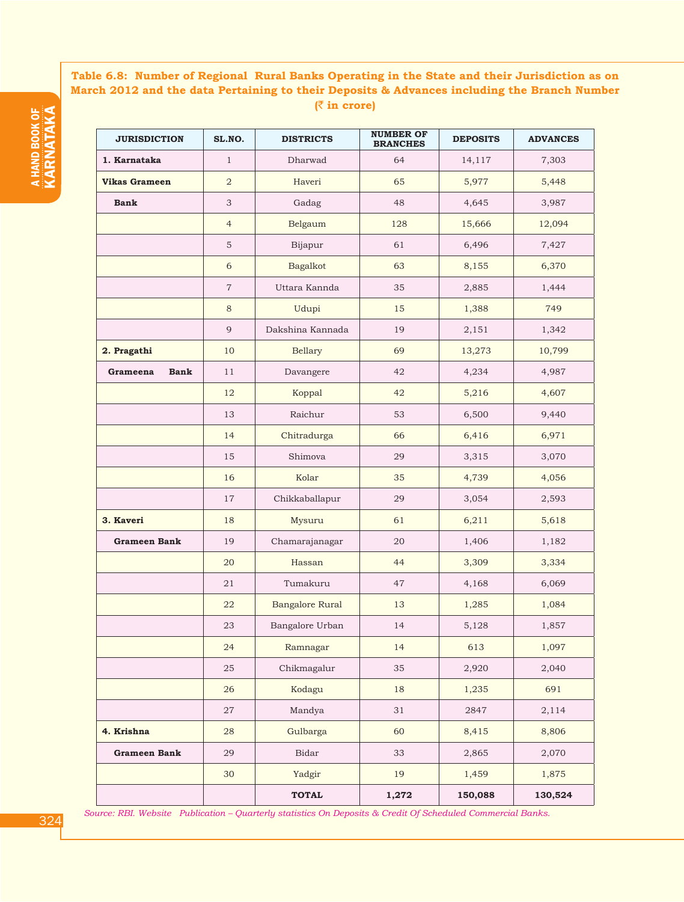# **Table 6.8: Number of Regional Rural Banks Operating in the State and their Jurisdiction as on March 2012 and the data Pertaining to their Deposits & Advances including the Branch Number (**` **in crore)**

| <b>JURISDICTION</b>     | SL.NO.         | <b>DISTRICTS</b>       | <b>NUMBER OF</b><br><b>BRANCHES</b> | <b>DEPOSITS</b> | <b>ADVANCES</b> |
|-------------------------|----------------|------------------------|-------------------------------------|-----------------|-----------------|
| 1. Karnataka            | $\mathbf{1}$   | Dharwad                | 64                                  | 14,117          | 7,303           |
| <b>Vikas Grameen</b>    | $\overline{a}$ | Haveri                 | 65                                  | 5,977           | 5,448           |
| <b>Bank</b>             | 3              | Gadag                  | 48                                  | 4,645           | 3,987           |
|                         | $\overline{4}$ | Belgaum                | 128                                 | 15,666          | 12,094          |
|                         | $\mathbf 5$    | Bijapur                | 61                                  | 6,496           | 7,427           |
|                         | 6              | Bagalkot               | 63                                  | 8,155           | 6,370           |
|                         | $\overline{7}$ | Uttara Kannda          | 35                                  | 2,885           | 1,444           |
|                         | $\,8\,$        | Udupi                  | 15                                  | 1,388           | 749             |
|                         | 9              | Dakshina Kannada       | 19                                  | 2,151           | 1,342           |
| 2. Pragathi             | 10             | Bellary                | 69                                  | 13,273          | 10,799          |
| <b>Bank</b><br>Grameena | 11             | Davangere              | 42                                  | 4,234           | 4,987           |
|                         | 12             | Koppal                 | 42                                  | 5,216           | 4,607           |
|                         | 13             | Raichur                | 53                                  | 6,500           | 9,440           |
|                         | 14             | Chitradurga            | 66                                  | 6,416           | 6,971           |
|                         | 15             | Shimova                | 29                                  | 3,315           | 3,070           |
|                         | 16             | Kolar                  | 35                                  | 4,739           | 4,056           |
|                         | 17             | Chikkaballapur         | 29                                  | 3,054           | 2,593           |
| 3. Kaveri               | 18             | Mysuru                 | 61                                  | 6,211           | 5,618           |
| <b>Grameen Bank</b>     | 19             | Chamarajanagar         | 20                                  | 1,406           | 1,182           |
|                         | 20             | Hassan                 | 44                                  | 3,309           | 3,334           |
|                         | 21             | Tumakuru               | 47                                  | 4,168           | 6,069           |
|                         | 22             | <b>Bangalore Rural</b> | 13                                  | 1,285           | 1,084           |
|                         | 23             | Bangalore Urban        | 14                                  | 5,128           | 1,857           |
|                         | 24             | Ramnagar               | 14                                  | 613             | 1,097           |
|                         | 25             | Chikmagalur            | 35                                  | 2,920           | 2,040           |
|                         | 26             | Kodagu                 | 18                                  | 1,235           | 691             |
|                         | 27             | Mandya                 | 31                                  | 2847            | 2,114           |
| 4. Krishna              | 28             | Gulbarga               | 60                                  | 8,415           | 8,806           |
| <b>Grameen Bank</b>     | 29             | Bidar                  | 33                                  | 2,865           | 2,070           |
|                         | 30             | Yadgir                 | 19                                  | 1,459           | 1,875           |
|                         |                | <b>TOTAL</b>           | 1,272                               | 150,088         | 130,524         |

a HAND BOOK eiS<br>G KARNATA A

*Source: RBI. Website Publication – Quarterly statistics On Deposits & Credit Of Scheduled Commercial Banks.*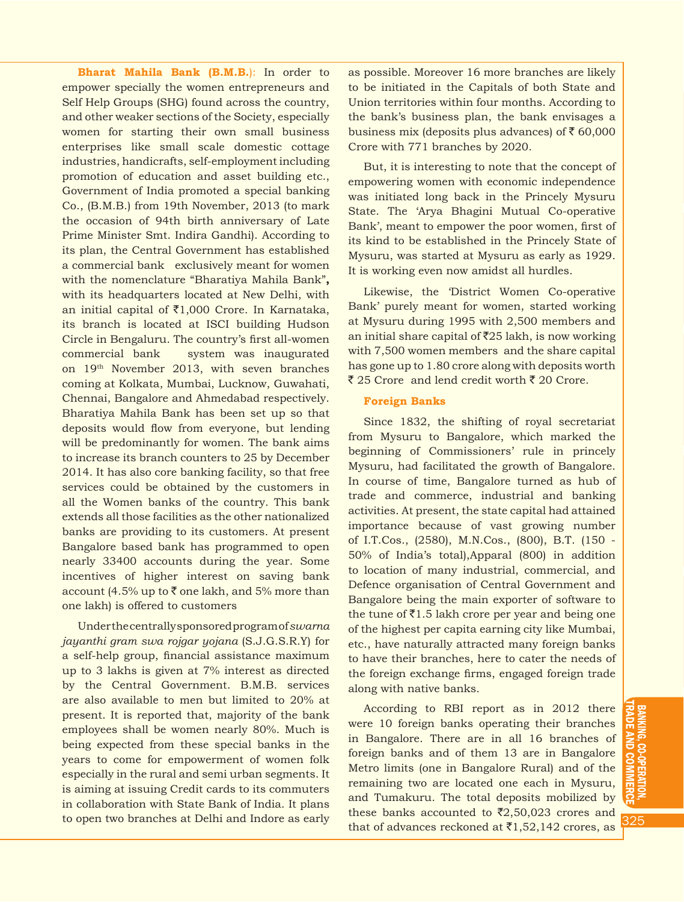**Bharat Mahila Bank (B.M.B.**): In order to empower specially the women entrepreneurs and Self Help Groups (SHG) found across the country, and other weaker sections of the Society, especially women for starting their own small business enterprises like small scale domestic cottage industries, handicrafts, self-employment including promotion of education and asset building etc., Government of India promoted a special banking Co., (B.M.B.) from 19th November, 2013 (to mark the occasion of 94th birth anniversary of Late Prime Minister Smt. Indira Gandhi). According to its plan, the Central Government has established a commercial bank exclusively meant for women with the nomenclature "Bharatiya Mahila Bank"**,** with its headquarters located at New Delhi, with an initial capital of  $\bar{\bar{\xi}}$ 1,000 Crore. In Karnataka, its branch is located at ISCI building Hudson Circle in Bengaluru. The country's first all-women commercial bank system was inaugurated on 19<sup>th</sup> November 2013, with seven branches coming at Kolkata, Mumbai, Lucknow, Guwahati, Chennai, Bangalore and Ahmedabad respectively. Bharatiya Mahila Bank has been set up so that deposits would flow from everyone, but lending will be predominantly for women. The bank aims to increase its branch counters to 25 by December 2014. It has also core banking facility, so that free services could be obtained by the customers in all the Women banks of the country. This bank extends all those facilities as the other nationalized banks are providing to its customers. At present Bangalore based bank has programmed to open nearly 33400 accounts during the year. Some incentives of higher interest on saving bank account (4.5% up to  $\bar{\zeta}$  one lakh, and 5% more than one lakh) is offered to customers

Under the centrally sponsored program of *swarna jayanthi gram swa rojgar yojana* (S.J.G.S.R.Y) for a self-help group, financial assistance maximum up to 3 lakhs is given at 7% interest as directed by the Central Government. B.M.B. services are also available to men but limited to 20% at present. It is reported that, majority of the bank employees shall be women nearly 80%. Much is being expected from these special banks in the years to come for empowerment of women folk especially in the rural and semi urban segments. It is aiming at issuing Credit cards to its commuters in collaboration with State Bank of India. It plans to open two branches at Delhi and Indore as early as possible. Moreover 16 more branches are likely to be initiated in the Capitals of both State and Union territories within four months. According to the bank's business plan, the bank envisages a business mix (deposits plus advances) of  $\bar{\tau}$  60,000 Crore with 771 branches by 2020.

But, it is interesting to note that the concept of empowering women with economic independence was initiated long back in the Princely Mysuru State. The 'Arya Bhagini Mutual Co-operative Bank', meant to empower the poor women, first of its kind to be established in the Princely State of Mysuru, was started at Mysuru as early as 1929. It is working even now amidst all hurdles.

Likewise, the 'District Women Co-operative Bank' purely meant for women, started working at Mysuru during 1995 with 2,500 members and an initial share capital of  $\overline{525}$  lakh, is now working with 7,500 women members and the share capital has gone up to 1.80 crore along with deposits worth  $\bar{\xi}$  25 Crore and lend credit worth  $\bar{\xi}$  20 Crore.

#### **Foreign Banks**

Since 1832, the shifting of royal secretariat from Mysuru to Bangalore, which marked the beginning of Commissioners' rule in princely Mysuru, had facilitated the growth of Bangalore. In course of time, Bangalore turned as hub of trade and commerce, industrial and banking activities. At present, the state capital had attained importance because of vast growing number of I.T.Cos., (2580), M.N.Cos., (800), B.T. (150 - 50% of India's total),Apparal (800) in addition to location of many industrial, commercial, and Defence organisation of Central Government and Bangalore being the main exporter of software to the tune of  $\bar{z}$ 1.5 lakh crore per year and being one of the highest per capita earning city like Mumbai, etc., have naturally attracted many foreign banks to have their branches, here to cater the needs of the foreign exchange firms, engaged foreign trade along with native banks.

According to RBI report as in 2012 there were 10 foreign banks operating their branches in Bangalore. There are in all 16 branches of foreign banks and of them 13 are in Bangalore Metro limits (one in Bangalore Rural) and of the remaining two are located one each in Mysuru, and Tumakuru. The total deposits mobilized by these banks accounted to  $\bar{\mathfrak{e}}2,50,023$  crores and that of advances reckoned at  $\bar{z}1,52,142$  crores, as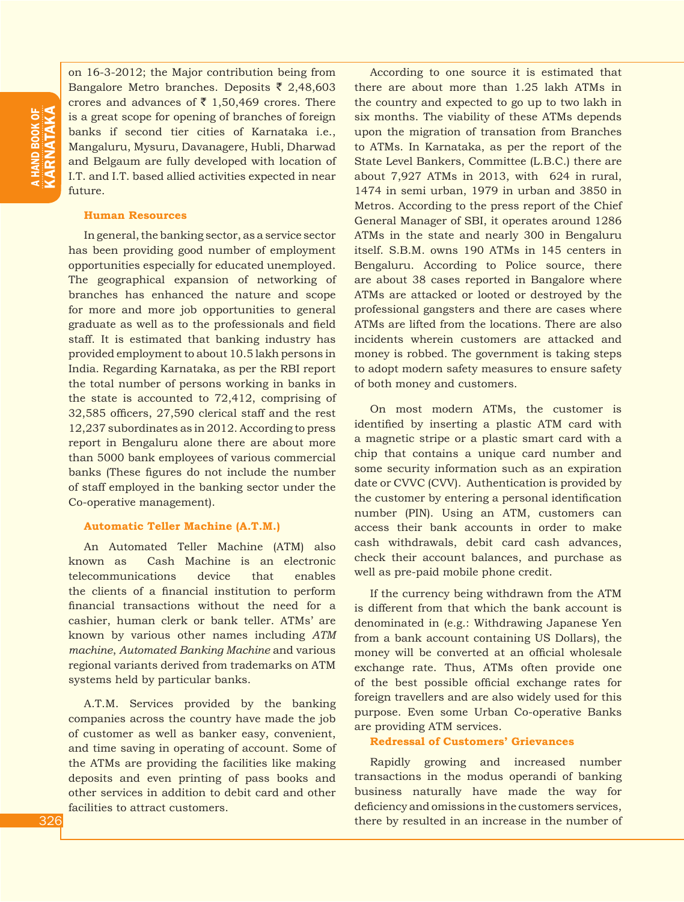on 16-3-2012; the Major contribution being from Bangalore Metro branches. Deposits  $\bar{\tau}$  2,48,603 crores and advances of  $\bar{\tau}$  1,50,469 crores. There is a great scope for opening of branches of foreign banks if second tier cities of Karnataka i.e., Mangaluru, Mysuru, Davanagere, Hubli, Dharwad and Belgaum are fully developed with location of I.T. and I.T. based allied activities expected in near future.

#### **Human Resources**

In general, the banking sector, as a service sector has been providing good number of employment opportunities especially for educated unemployed. The geographical expansion of networking of branches has enhanced the nature and scope for more and more job opportunities to general graduate as well as to the professionals and field staff. It is estimated that banking industry has provided employment to about 10.5 lakh persons in India. Regarding Karnataka, as per the RBI report the total number of persons working in banks in the state is accounted to 72,412, comprising of 32,585 officers, 27,590 clerical staff and the rest 12,237 subordinates as in 2012. According to press report in Bengaluru alone there are about more than 5000 bank employees of various commercial banks (These figures do not include the number of staff employed in the banking sector under the Co-operative management).

#### **Automatic Teller Machine (A.T.M.)**

An Automated Teller Machine (ATM) also known as Cash Machine is an electronic telecommunications device that enables the clients of a financial institution to perform financial transactions without the need for a cashier, human clerk or bank teller. ATMs' are known by various other names including *ATM machine*, *Automated Banking Machine* and various regional variants derived from trademarks on ATM systems held by particular banks.

A.T.M. Services provided by the banking companies across the country have made the job of customer as well as banker easy, convenient, and time saving in operating of account. Some of the ATMs are providing the facilities like making deposits and even printing of pass books and other services in addition to debit card and other facilities to attract customers.

According to one source it is estimated that there are about more than 1.25 lakh ATMs in the country and expected to go up to two lakh in six months. The viability of these ATMs depends upon the migration of transation from Branches to ATMs. In Karnataka, as per the report of the State Level Bankers, Committee (L.B.C.) there are about 7,927 ATMs in 2013, with 624 in rural, 1474 in semi urban, 1979 in urban and 3850 in Metros. According to the press report of the Chief General Manager of SBI, it operates around 1286 ATMs in the state and nearly 300 in Bengaluru itself. S.B.M. owns 190 ATMs in 145 centers in Bengaluru. According to Police source, there are about 38 cases reported in Bangalore where ATMs are attacked or looted or destroyed by the professional gangsters and there are cases where ATMs are lifted from the locations. There are also incidents wherein customers are attacked and money is robbed. The government is taking steps to adopt modern safety measures to ensure safety of both money and customers.

On most modern ATMs, the customer is identified by inserting a plastic ATM card with a magnetic stripe or a plastic smart card with a chip that contains a unique card number and some security information such as an expiration date or CVVC (CVV). Authentication is provided by the customer by entering a personal identification number (PIN). Using an ATM, customers can access their bank accounts in order to make cash withdrawals, debit card cash advances, check their account balances, and purchase as well as pre-paid mobile phone credit.

If the currency being withdrawn from the ATM is different from that which the bank account is denominated in (e.g.: Withdrawing Japanese Yen from a bank account containing US Dollars), the money will be converted at an official wholesale exchange rate. Thus, ATMs often provide one of the best possible official exchange rates for foreign travellers and are also widely used for this purpose. Even some Urban Co-operative Banks are providing ATM services.

## **Redressal of Customers' Grievances**

Rapidly growing and increased number transactions in the modus operandi of banking business naturally have made the way for deficiency and omissions in the customers services, there by resulted in an increase in the number of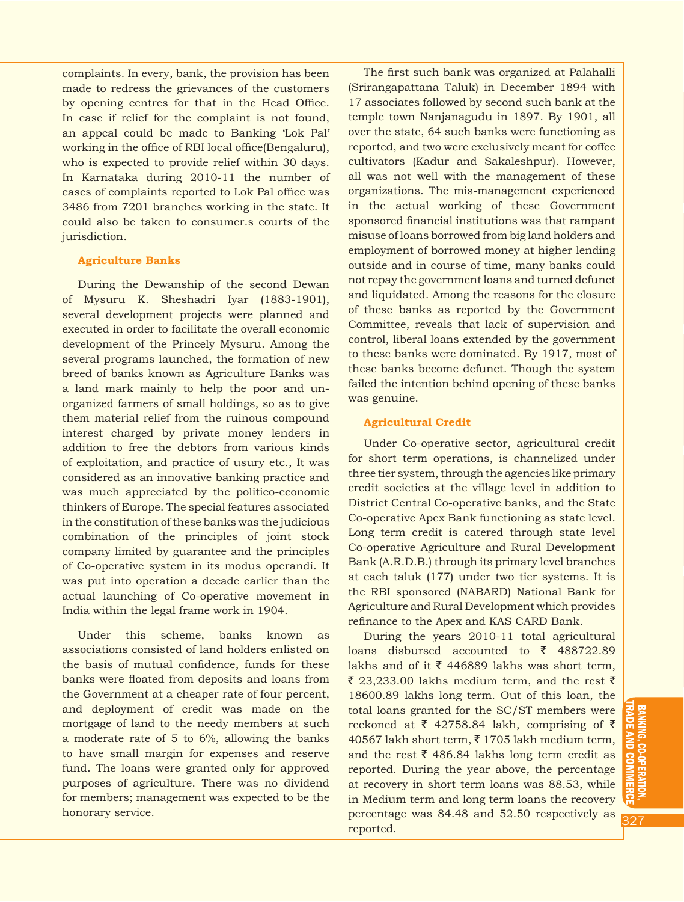complaints. In every, bank, the provision has been made to redress the grievances of the customers by opening centres for that in the Head Office. In case if relief for the complaint is not found, an appeal could be made to Banking 'Lok Pal' working in the office of RBI local office(Bengaluru), who is expected to provide relief within 30 days. In Karnataka during 2010-11 the number of cases of complaints reported to Lok Pal office was 3486 from 7201 branches working in the state. It could also be taken to consumer.s courts of the jurisdiction.

#### **Agriculture Banks**

During the Dewanship of the second Dewan of Mysuru K. Sheshadri Iyar (1883-1901), several development projects were planned and executed in order to facilitate the overall economic development of the Princely Mysuru. Among the several programs launched, the formation of new breed of banks known as Agriculture Banks was a land mark mainly to help the poor and unorganized farmers of small holdings, so as to give them material relief from the ruinous compound interest charged by private money lenders in addition to free the debtors from various kinds of exploitation, and practice of usury etc., It was considered as an innovative banking practice and was much appreciated by the politico-economic thinkers of Europe. The special features associated in the constitution of these banks was the judicious combination of the principles of joint stock company limited by guarantee and the principles of Co-operative system in its modus operandi. It was put into operation a decade earlier than the actual launching of Co-operative movement in India within the legal frame work in 1904.

Under this scheme, banks known as associations consisted of land holders enlisted on the basis of mutual confidence, funds for these banks were floated from deposits and loans from the Government at a cheaper rate of four percent, and deployment of credit was made on the mortgage of land to the needy members at such a moderate rate of 5 to 6%, allowing the banks to have small margin for expenses and reserve fund. The loans were granted only for approved purposes of agriculture. There was no dividend for members; management was expected to be the honorary service.

The first such bank was organized at Palahalli (Srirangapattana Taluk) in December 1894 with 17 associates followed by second such bank at the temple town Nanjanagudu in 1897. By 1901, all over the state, 64 such banks were functioning as reported, and two were exclusively meant for coffee cultivators (Kadur and Sakaleshpur). However, all was not well with the management of these organizations. The mis-management experienced in the actual working of these Government sponsored financial institutions was that rampant misuse of loans borrowed from big land holders and employment of borrowed money at higher lending outside and in course of time, many banks could not repay the government loans and turned defunct and liquidated. Among the reasons for the closure of these banks as reported by the Government Committee, reveals that lack of supervision and control, liberal loans extended by the government to these banks were dominated. By 1917, most of these banks become defunct. Though the system failed the intention behind opening of these banks was genuine.

#### **Agricultural Credit**

Under Co-operative sector, agricultural credit for short term operations, is channelized under three tier system, through the agencies like primary credit societies at the village level in addition to District Central Co-operative banks, and the State Co-operative Apex Bank functioning as state level. Long term credit is catered through state level Co-operative Agriculture and Rural Development Bank (A.R.D.B.) through its primary level branches at each taluk (177) under two tier systems. It is the RBI sponsored (NABARD) National Bank for Agriculture and Rural Development which provides refinance to the Apex and KAS CARD Bank.

During the years 2010-11 total agricultural loans disbursed accounted to  $\bar{z}$  488722.89 lakhs and of it  $\bar{\tau}$  446889 lakhs was short term,  $\bar{\xi}$  23,233.00 lakhs medium term, and the rest  $\bar{\xi}$ 18600.89 lakhs long term. Out of this loan, the total loans granted for the SC/ST members were reckoned at  $\bar{\tau}$  42758.84 lakh, comprising of  $\bar{\tau}$ 40567 lakh short term,  $\bar{\tau}$  1705 lakh medium term, and the rest  $\bar{\xi}$  486.84 lakhs long term credit as reported. During the year above, the percentage at recovery in short term loans was 88.53, while in Medium term and long term loans the recovery percentage was 84.48 and 52.50 respectively as reported.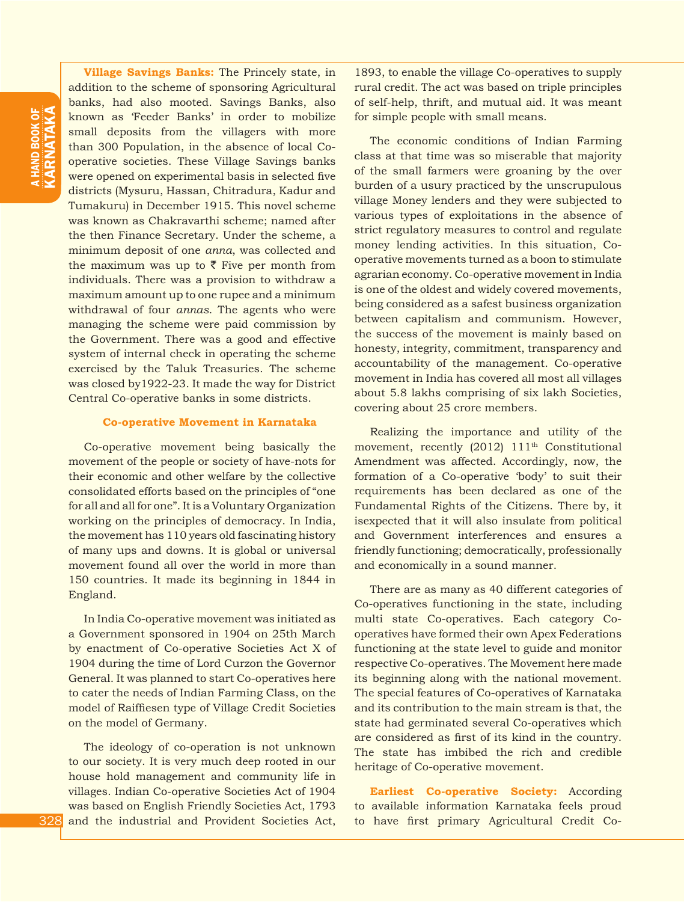**Village Savings Banks:** The Princely state, in addition to the scheme of sponsoring Agricultural banks, had also mooted. Savings Banks, also known as 'Feeder Banks' in order to mobilize small deposits from the villagers with more than 300 Population, in the absence of local Cooperative societies. These Village Savings banks were opened on experimental basis in selected five districts (Mysuru, Hassan, Chitradura, Kadur and Tumakuru) in December 1915. This novel scheme was known as Chakravarthi scheme; named after the then Finance Secretary. Under the scheme, a minimum deposit of one *anna*, was collected and the maximum was up to  $\bar{\tau}$  Five per month from individuals. There was a provision to withdraw a maximum amount up to one rupee and a minimum withdrawal of four *annas*. The agents who were managing the scheme were paid commission by the Government. There was a good and effective system of internal check in operating the scheme exercised by the Taluk Treasuries. The scheme was closed by1922-23. It made the way for District Central Co-operative banks in some districts.

#### **Co-operative Movement in Karnataka**

Co-operative movement being basically the movement of the people or society of have-nots for their economic and other welfare by the collective consolidated efforts based on the principles of "one for all and all for one". It is a Voluntary Organization working on the principles of democracy. In India, the movement has 110 years old fascinating history of many ups and downs. It is global or universal movement found all over the world in more than 150 countries. It made its beginning in 1844 in England.

In India Co-operative movement was initiated as a Government sponsored in 1904 on 25th March by enactment of Co-operative Societies Act X of 1904 during the time of Lord Curzon the Governor General. It was planned to start Co-operatives here to cater the needs of Indian Farming Class, on the model of Raiffiesen type of Village Credit Societies on the model of Germany.

The ideology of co-operation is not unknown to our society. It is very much deep rooted in our house hold management and community life in villages. Indian Co-operative Societies Act of 1904 was based on English Friendly Societies Act, 1793 and the industrial and Provident Societies Act,

1893, to enable the village Co-operatives to supply rural credit. The act was based on triple principles of self-help, thrift, and mutual aid. It was meant for simple people with small means.

The economic conditions of Indian Farming class at that time was so miserable that majority of the small farmers were groaning by the over burden of a usury practiced by the unscrupulous village Money lenders and they were subjected to various types of exploitations in the absence of strict regulatory measures to control and regulate money lending activities. In this situation, Cooperative movements turned as a boon to stimulate agrarian economy. Co-operative movement in India is one of the oldest and widely covered movements, being considered as a safest business organization between capitalism and communism. However, the success of the movement is mainly based on honesty, integrity, commitment, transparency and accountability of the management. Co-operative movement in India has covered all most all villages about 5.8 lakhs comprising of six lakh Societies, covering about 25 crore members.

Realizing the importance and utility of the movement, recently (2012) 111<sup>th</sup> Constitutional Amendment was affected. Accordingly, now, the formation of a Co-operative 'body' to suit their requirements has been declared as one of the Fundamental Rights of the Citizens. There by, it isexpected that it will also insulate from political and Government interferences and ensures a friendly functioning; democratically, professionally and economically in a sound manner.

There are as many as 40 different categories of Co-operatives functioning in the state, including multi state Co-operatives. Each category Cooperatives have formed their own Apex Federations functioning at the state level to guide and monitor respective Co-operatives. The Movement here made its beginning along with the national movement. The special features of Co-operatives of Karnataka and its contribution to the main stream is that, the state had germinated several Co-operatives which are considered as first of its kind in the country. The state has imbibed the rich and credible heritage of Co-operative movement.

**Earliest Co-operative Society:** According to available information Karnataka feels proud to have first primary Agricultural Credit Co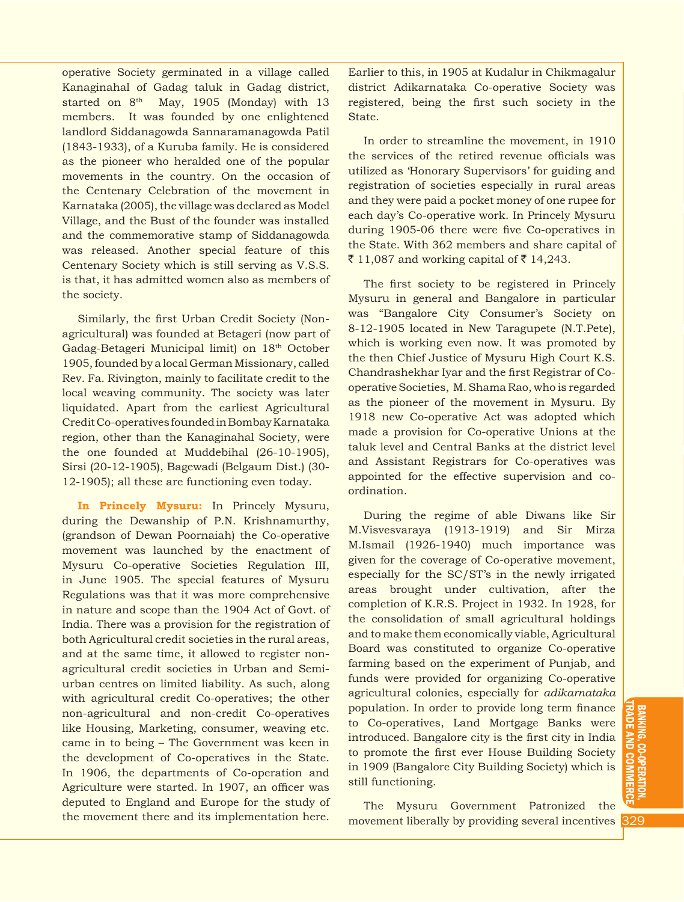operative Society germinated in a village called Kanaginahal of Gadag taluk in Gadag district, started on 8<sup>th</sup> May, 1905 (Monday) with 13 members. It was founded by one enlightened landlord Siddanagowda Sannaramanagowda Patil (1843-1933), of a Kuruba family. He is considered as the pioneer who heralded one of the popular movements in the country. On the occasion of the Centenary Celebration of the movement in Karnataka (2005), the village was declared as Model Village, and the Bust of the founder was installed and the commemorative stamp of Siddanagowda was released. Another special feature of this Centenary Society which is still serving as V.S.S. is that, it has admitted women also as members of the society.

Similarly, the first Urban Credit Society (Nonagricultural) was founded at Betageri (now part of Gadag-Betageri Municipal limit) on 18th October 1905, founded by a local German Missionary, called Rev. Fa. Rivington, mainly to facilitate credit to the local weaving community. The society was later liquidated. Apart from the earliest Agricultural Credit Co-operatives founded in Bombay Karnataka region, other than the Kanaginahal Society, were the one founded at Muddebihal (26-10-1905), Sirsi (20-12-1905), Bagewadi (Belgaum Dist.) (30- 12-1905); all these are functioning even today.

**In Princely Mysuru:** In Princely Mysuru, during the Dewanship of P.N. Krishnamurthy, (grandson of Dewan Poornaiah) the Co-operative movement was launched by the enactment of Mysuru Co-operative Societies Regulation III, in June 1905. The special features of Mysuru Regulations was that it was more comprehensive in nature and scope than the 1904 Act of Govt. of India. There was a provision for the registration of both Agricultural credit societies in the rural areas, and at the same time, it allowed to register nonagricultural credit societies in Urban and Semiurban centres on limited liability. As such, along with agricultural credit Co-operatives; the other non-agricultural and non-credit Co-operatives like Housing, Marketing, consumer, weaving etc. came in to being – The Government was keen in the development of Co-operatives in the State. In 1906, the departments of Co-operation and Agriculture were started. In 1907, an officer was deputed to England and Europe for the study of the movement there and its implementation here.

Earlier to this, in 1905 at Kudalur in Chikmagalur district Adikarnataka Co-operative Society was registered, being the first such society in the State.

In order to streamline the movement, in 1910 the services of the retired revenue officials was utilized as 'Honorary Supervisors' for guiding and registration of societies especially in rural areas and they were paid a pocket money of one rupee for each day's Co-operative work. In Princely Mysuru during 1905-06 there were five Co-operatives in the State. With 362 members and share capital of ₹ 11,087 and working capital of ₹ 14,243.

The first society to be registered in Princely Mysuru in general and Bangalore in particular was "Bangalore City Consumer's Society on 8-12-1905 located in New Taragupete (N.T.Pete), which is working even now. It was promoted by the then Chief Justice of Mysuru High Court K.S. Chandrashekhar Iyar and the first Registrar of Cooperative Societies, M. Shama Rao, who is regarded as the pioneer of the movement in Mysuru. By 1918 new Co-operative Act was adopted which made a provision for Co-operative Unions at the taluk level and Central Banks at the district level and Assistant Registrars for Co-operatives was appointed for the effective supervision and coordination.

During the regime of able Diwans like Sir M.Visvesvaraya (1913-1919) and Sir Mirza M.Ismail (1926-1940) much importance was given for the coverage of Co-operative movement, especially for the SC/ST's in the newly irrigated areas brought under cultivation, after the completion of K.R.S. Project in 1932. In 1928, for the consolidation of small agricultural holdings and to make them economically viable, Agricultural Board was constituted to organize Co-operative farming based on the experiment of Punjab, and funds were provided for organizing Co-operative agricultural colonies, especially for *adikarnataka*  population. In order to provide long term finance to Co-operatives, Land Mortgage Banks were introduced. Bangalore city is the first city in India to promote the first ever House Building Society in 1909 (Bangalore City Building Society) which is still functioning.

The Mysuru Government Patronized the movement liberally by providing several incentives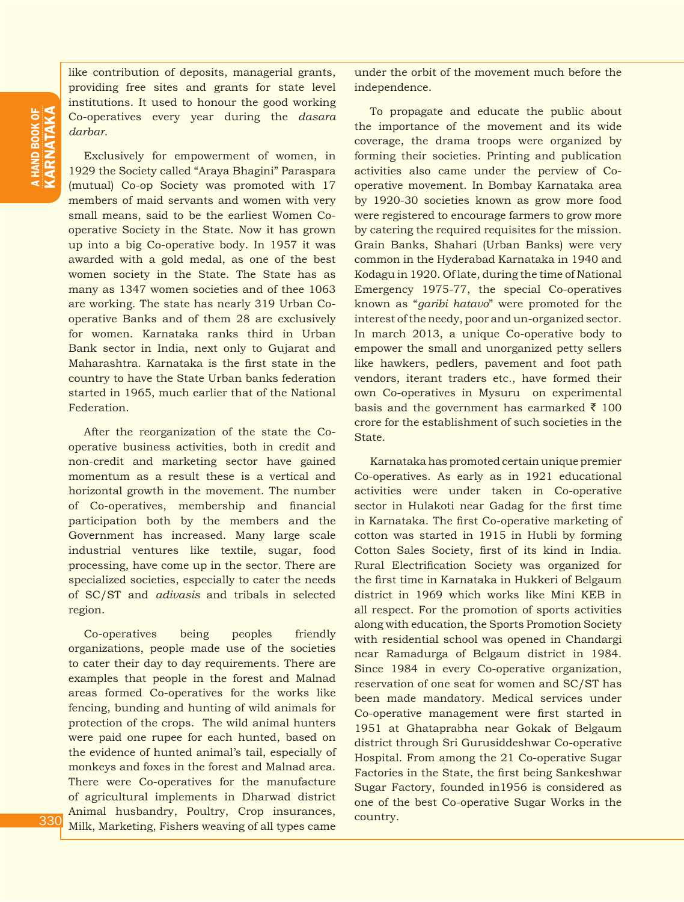like contribution of deposits, managerial grants, providing free sites and grants for state level institutions. It used to honour the good working Co-operatives every year during the *dasara darbar*.

Exclusively for empowerment of women, in 1929 the Society called "Araya Bhagini" Paraspara (mutual) Co-op Society was promoted with 17 members of maid servants and women with very small means, said to be the earliest Women Cooperative Society in the State. Now it has grown up into a big Co-operative body. In 1957 it was awarded with a gold medal, as one of the best women society in the State. The State has as many as 1347 women societies and of thee 1063 are working. The state has nearly 319 Urban Cooperative Banks and of them 28 are exclusively for women. Karnataka ranks third in Urban Bank sector in India, next only to Gujarat and Maharashtra. Karnataka is the first state in the country to have the State Urban banks federation started in 1965, much earlier that of the National Federation.

After the reorganization of the state the Cooperative business activities, both in credit and non-credit and marketing sector have gained momentum as a result these is a vertical and horizontal growth in the movement. The number of Co-operatives, membership and financial participation both by the members and the Government has increased. Many large scale industrial ventures like textile, sugar, food processing, have come up in the sector. There are specialized societies, especially to cater the needs of SC/ST and *adivasis* and tribals in selected region.

Co-operatives being peoples friendly organizations, people made use of the societies to cater their day to day requirements. There are examples that people in the forest and Malnad areas formed Co-operatives for the works like fencing, bunding and hunting of wild animals for protection of the crops. The wild animal hunters were paid one rupee for each hunted, based on the evidence of hunted animal's tail, especially of monkeys and foxes in the forest and Malnad area. There were Co-operatives for the manufacture of agricultural implements in Dharwad district Animal husbandry, Poultry, Crop insurances, Milk, Marketing, Fishers weaving of all types came

under the orbit of the movement much before the independence.

To propagate and educate the public about the importance of the movement and its wide coverage, the drama troops were organized by forming their societies. Printing and publication activities also came under the perview of Cooperative movement. In Bombay Karnataka area by 1920-30 societies known as grow more food were registered to encourage farmers to grow more by catering the required requisites for the mission. Grain Banks, Shahari (Urban Banks) were very common in the Hyderabad Karnataka in 1940 and Kodagu in 1920. Of late, during the time of National Emergency 1975-77, the special Co-operatives known as "*garibi hatavo*" were promoted for the interest of the needy, poor and un-organized sector. In march 2013, a unique Co-operative body to empower the small and unorganized petty sellers like hawkers, pedlers, pavement and foot path vendors, iterant traders etc., have formed their own Co-operatives in Mysuru on experimental basis and the government has earmarked  $\bar{\tau}$  100 crore for the establishment of such societies in the **State** 

Karnataka has promoted certain unique premier Co-operatives. As early as in 1921 educational activities were under taken in Co-operative sector in Hulakoti near Gadag for the first time in Karnataka. The first Co-operative marketing of cotton was started in 1915 in Hubli by forming Cotton Sales Society, first of its kind in India. Rural Electrification Society was organized for the first time in Karnataka in Hukkeri of Belgaum district in 1969 which works like Mini KEB in all respect. For the promotion of sports activities along with education, the Sports Promotion Society with residential school was opened in Chandargi near Ramadurga of Belgaum district in 1984. Since 1984 in every Co-operative organization, reservation of one seat for women and SC/ST has been made mandatory. Medical services under Co-operative management were first started in 1951 at Ghataprabha near Gokak of Belgaum district through Sri Gurusiddeshwar Co-operative Hospital. From among the 21 Co-operative Sugar Factories in the State, the first being Sankeshwar Sugar Factory, founded in1956 is considered as one of the best Co-operative Sugar Works in the country.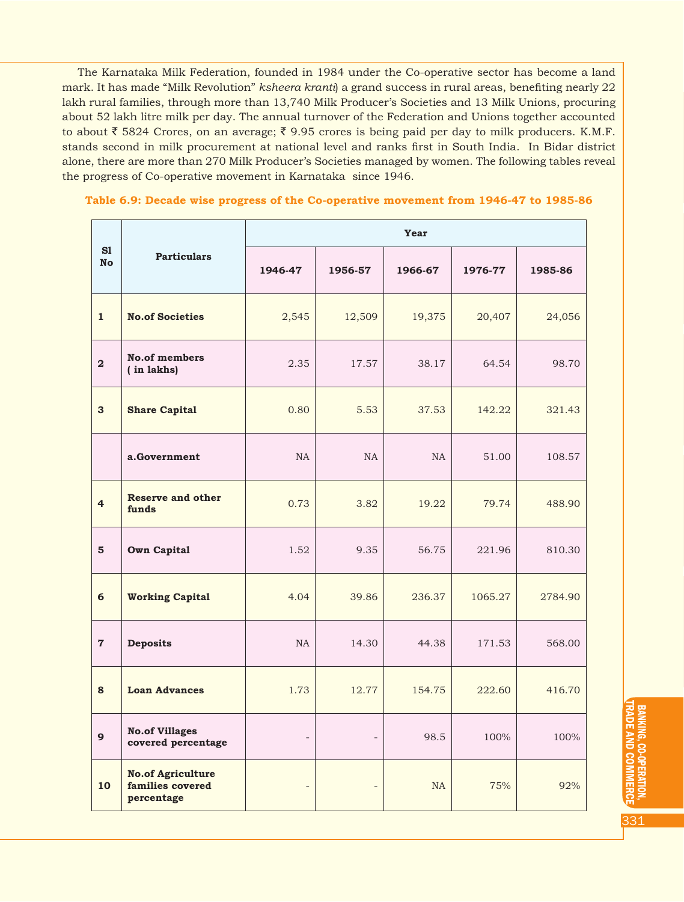The Karnataka Milk Federation, founded in 1984 under the Co-operative sector has become a land mark. It has made "Milk Revolution" *ksheera kranti*) a grand success in rural areas, benefiting nearly 22 lakh rural families, through more than 13,740 Milk Producer's Societies and 13 Milk Unions, procuring about 52 lakh litre milk per day. The annual turnover of the Federation and Unions together accounted to about  $\bar{\tau}$  5824 Crores, on an average;  $\bar{\tau}$  9.95 crores is being paid per day to milk producers. K.M.F. stands second in milk procurement at national level and ranks first in South India. In Bidar district alone, there are more than 270 Milk Producer's Societies managed by women. The following tables reveal the progress of Co-operative movement in Karnataka since 1946.

|  |  |  | Table 6.9: Decade wise progress of the Co-operative movement from 1946-47 to 1985-86 |  |  |  |
|--|--|--|--------------------------------------------------------------------------------------|--|--|--|
|--|--|--|--------------------------------------------------------------------------------------|--|--|--|

|                         |                                                            | Year           |                          |          |         |         |  |  |  |
|-------------------------|------------------------------------------------------------|----------------|--------------------------|----------|---------|---------|--|--|--|
| S1<br>No                | <b>Particulars</b>                                         | 1946-47        | 1956-57                  | 1966-67  | 1976-77 | 1985-86 |  |  |  |
| $\mathbf{1}$            | <b>No.of Societies</b>                                     | 2,545          | 12,509                   | 19,375   | 20,407  | 24,056  |  |  |  |
| $\overline{\mathbf{2}}$ | <b>No.of members</b><br>(in lakhs)                         | 2.35           | 17.57                    | 38.17    | 64.54   | 98.70   |  |  |  |
| $\mathbf{3}$            | <b>Share Capital</b>                                       | 0.80           | 5.53                     | 37.53    | 142.22  | 321.43  |  |  |  |
|                         | a.Government                                               | <b>NA</b>      | NA                       | NA       | 51.00   | 108.57  |  |  |  |
| $\overline{4}$          | <b>Reserve and other</b><br>funds                          | 0.73           | 3.82                     | 19.22    | 79.74   | 488.90  |  |  |  |
| 5                       | <b>Own Capital</b>                                         | 1.52           | 9.35                     | 56.75    | 221.96  | 810.30  |  |  |  |
| 6                       | <b>Working Capital</b>                                     | 4.04           | 39.86                    | 236.37   | 1065.27 | 2784.90 |  |  |  |
| $\overline{7}$          | <b>Deposits</b>                                            | <b>NA</b>      | 14.30                    | 44.38    | 171.53  | 568.00  |  |  |  |
| 8                       | <b>Loan Advances</b>                                       | 1.73           | 12.77                    | 154.75   | 222.60  | 416.70  |  |  |  |
| $\mathbf{9}$            | <b>No.of Villages</b><br>covered percentage                | $\bar{ }$      | $\overline{\phantom{a}}$ | 98.5     | 100%    | 100%    |  |  |  |
| 10                      | <b>No.of Agriculture</b><br>families covered<br>percentage | $\overline{a}$ |                          | $\rm NA$ | 75%     | 92%     |  |  |  |

BANKING, CO-OPERATION, TRADE AND COMMERCE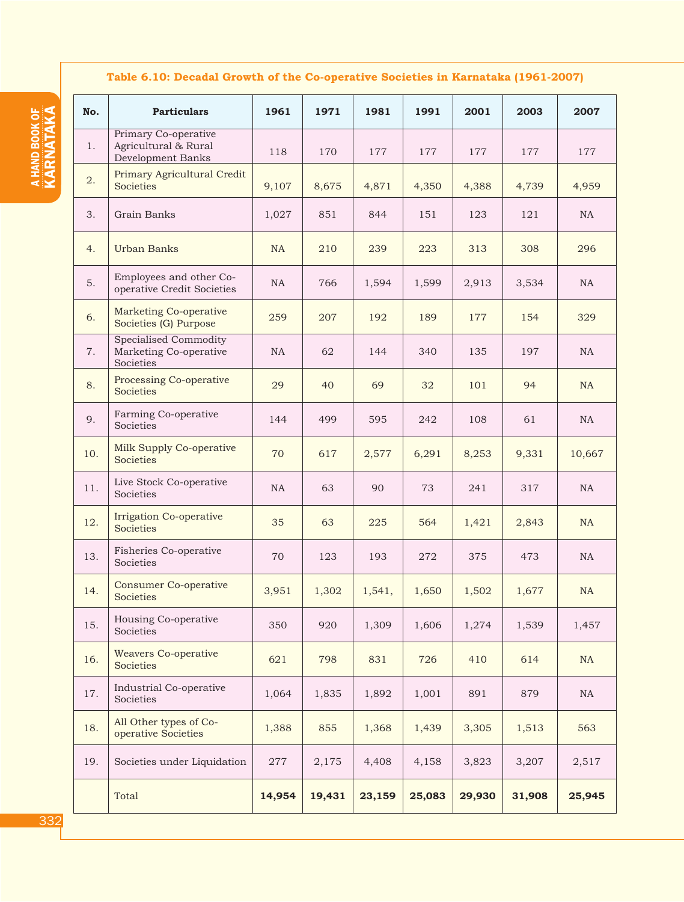# **Table 6.10: Decadal Growth of the Co-operative Societies in Karnataka (1961-2007)**

| No. | <b>Particulars</b>                                                  | 1961   | 1971   | 1981   | 1991   | 2001   | 2003   | 2007      |
|-----|---------------------------------------------------------------------|--------|--------|--------|--------|--------|--------|-----------|
| 1.  | Primary Co-operative<br>Agricultural & Rural<br>Development Banks   | 118    | 170    | 177    | 177    | 177    | 177    | 177       |
| 2.  | Primary Agricultural Credit<br>Societies                            | 9,107  | 8,675  | 4,871  | 4,350  | 4,388  | 4,739  | 4,959     |
| 3.  | Grain Banks                                                         | 1,027  | 851    | 844    | 151    | 123    | 121    | NA        |
| 4.  | <b>Urban Banks</b>                                                  | NA     | 210    | 239    | 223    | 313    | 308    | 296       |
| 5.  | Employees and other Co-<br>operative Credit Societies               | NA     | 766    | 1,594  | 1,599  | 2,913  | 3,534  | NA        |
| 6.  | <b>Marketing Co-operative</b><br>Societies (G) Purpose              | 259    | 207    | 192    | 189    | 177    | 154    | 329       |
| 7.  | <b>Specialised Commodity</b><br>Marketing Co-operative<br>Societies | NA     | 62     | 144    | 340    | 135    | 197    | NA        |
| 8.  | Processing Co-operative<br>Societies                                | 29     | 40     | 69     | 32     | 101    | 94     | NA        |
| 9.  | Farming Co-operative<br>Societies                                   | 144    | 499    | 595    | 242    | 108    | 61     | NA        |
| 10. | Milk Supply Co-operative<br>Societies                               | 70     | 617    | 2,577  | 6,291  | 8,253  | 9,331  | 10,667    |
| 11. | Live Stock Co-operative<br>Societies                                | NA     | 63     | 90     | 73     | 241    | 317    | NA        |
| 12. | <b>Irrigation Co-operative</b><br>Societies                         | 35     | 63     | 225    | 564    | 1,421  | 2,843  | <b>NA</b> |
| 13. | Fisheries Co-operative<br>Societies                                 | 70     | 123    | 193    | 272    | 375    | 473    | NA        |
| 14. | <b>Consumer Co-operative</b><br>Societies                           | 3,951  | 1,302  | 1,541, | 1,650  | 1,502  | 1,677  | <b>NA</b> |
| 15. | Housing Co-operative<br>Societies                                   | 350    | 920    | 1,309  | 1,606  | 1,274  | 1,539  | 1,457     |
| 16. | <b>Weavers Co-operative</b><br>Societies                            | 621    | 798    | 831    | 726    | 410    | 614    | NA        |
| 17. | Industrial Co-operative<br>Societies                                | 1,064  | 1,835  | 1,892  | 1,001  | 891    | 879    | NA        |
| 18. | All Other types of Co-<br>operative Societies                       | 1,388  | 855    | 1,368  | 1,439  | 3,305  | 1,513  | 563       |
| 19. | Societies under Liquidation                                         | 277    | 2,175  | 4,408  | 4,158  | 3,823  | 3,207  | 2,517     |
|     | Total                                                               | 14,954 | 19,431 | 23,159 | 25,083 | 29,930 | 31,908 | 25,945    |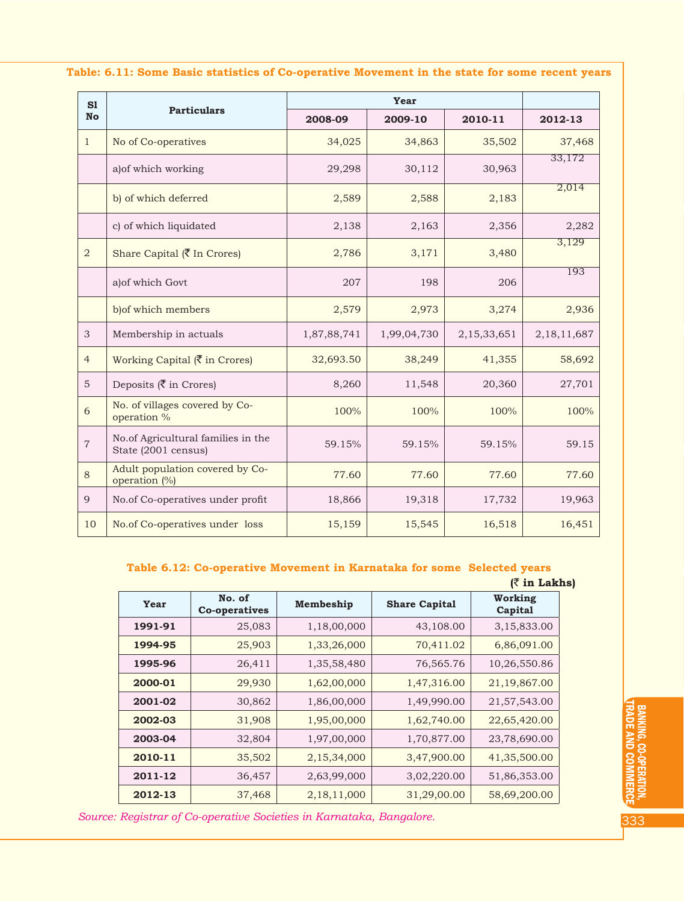| S1             |                                                           |             | Year        |             |                |  |  |
|----------------|-----------------------------------------------------------|-------------|-------------|-------------|----------------|--|--|
| <b>No</b>      | <b>Particulars</b>                                        | 2008-09     | 2009-10     | 2010-11     | 2012-13        |  |  |
| $\mathbf{1}$   | No of Co-operatives                                       | 34,025      | 34,863      | 35,502      | 37,468         |  |  |
|                | a) of which working                                       | 29,298      | 30,112      | 30,963      | 33,172         |  |  |
|                | b) of which deferred                                      | 2,589       | 2,588       | 2,183       | 2,014          |  |  |
|                | c) of which liquidated                                    | 2,138       | 2,163       | 2,356       | 2,282          |  |  |
| $\overline{a}$ | Share Capital (₹ In Crores)                               | 2,786       | 3,171       | 3,480       | 3,129          |  |  |
|                | a) of which Govt                                          | 207         | 198         | 206         | 193            |  |  |
|                | b) of which members                                       | 2,579       | 2,973       | 3,274       | 2,936          |  |  |
| 3              | Membership in actuals                                     | 1,87,88,741 | 1,99,04,730 | 2,15,33,651 | 2, 18, 11, 687 |  |  |
| $\overline{4}$ | Working Capital $(\overline{\zeta})$ in Crores)           | 32,693.50   | 38,249      | 41,355      | 58,692         |  |  |
| 5              | Deposits $(\overline{\zeta}$ in Crores)                   | 8,260       | 11,548      | 20,360      | 27,701         |  |  |
| 6              | No. of villages covered by Co-<br>operation %             | 100%        | 100%        | 100%        | 100%           |  |  |
| $\overline{7}$ | No.of Agricultural families in the<br>State (2001 census) | 59.15%      | 59.15%      | 59.15%      | 59.15          |  |  |
| 8              | Adult population covered by Co-<br>operation (%)          | 77.60       | 77.60       | 77.60       | 77.60          |  |  |
| 9              | No.of Co-operatives under profit                          | 18,866      | 19,318      | 17,732      | 19,963         |  |  |
| 10             | No.of Co-operatives under loss                            | 15,159      | 15,545      | 16,518      | 16,451         |  |  |

## **Table: 6.11: Some Basic statistics of Co-operative Movement in the state for some recent years**

# **Table 6.12: Co-operative Movement in Karnataka for some Selected years**

|         |                         |                |                      | $($ ₹ in Lakhs)    |
|---------|-------------------------|----------------|----------------------|--------------------|
| Year    | No. of<br>Co-operatives | Membeship      | <b>Share Capital</b> | Working<br>Capital |
| 1991-91 | 25,083                  | 1,18,00,000    | 43,108.00            | 3,15,833.00        |
| 1994-95 | 25,903                  | 1,33,26,000    | 70,411.02            | 6,86,091.00        |
| 1995-96 | 26,411                  | 1,35,58,480    | 76,565.76            | 10,26,550.86       |
| 2000-01 | 29,930                  | 1,62,00,000    | 1,47,316.00          | 21,19,867.00       |
| 2001-02 | 30,862                  | 1,86,00,000    | 1,49,990.00          | 21,57,543.00       |
| 2002-03 | 31,908                  | 1,95,00,000    | 1,62,740.00          | 22,65,420.00       |
| 2003-04 | 32,804                  | 1,97,00,000    | 1,70,877.00          | 23,78,690.00       |
| 2010-11 | 35,502                  | 2,15,34,000    | 3,47,900.00          | 41,35,500.00       |
| 2011-12 | 36,457                  | 2,63,99,000    | 3,02,220.00          | 51,86,353.00       |
| 2012-13 | 37,468                  | 2, 18, 11, 000 | 31,29,00.00          | 58,69,200.00       |

*Source: Registrar of Co-operative Societies in Karnataka, Bangalore.*

BANKING, CO-OPERATION, TRADE AND COMMERCE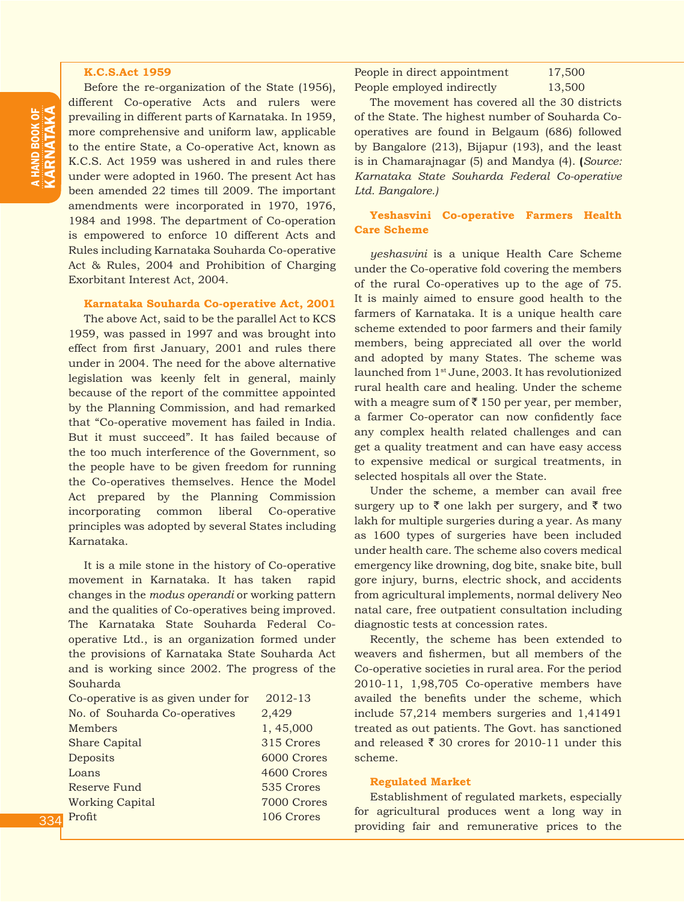#### **K.C.S.Act 1959**

Before the re-organization of the State (1956), different Co-operative Acts and rulers were prevailing in different parts of Karnataka. In 1959, more comprehensive and uniform law, applicable to the entire State, a Co-operative Act, known as K.C.S. Act 1959 was ushered in and rules there under were adopted in 1960. The present Act has been amended 22 times till 2009. The important amendments were incorporated in 1970, 1976, 1984 and 1998. The department of Co-operation is empowered to enforce 10 different Acts and Rules including Karnataka Souharda Co-operative Act & Rules, 2004 and Prohibition of Charging Exorbitant Interest Act, 2004.

## **Karnataka Souharda Co-operative Act, 2001**

The above Act, said to be the parallel Act to KCS 1959, was passed in 1997 and was brought into effect from first January, 2001 and rules there under in 2004. The need for the above alternative legislation was keenly felt in general, mainly because of the report of the committee appointed by the Planning Commission, and had remarked that "Co-operative movement has failed in India. But it must succeed". It has failed because of the too much interference of the Government, so the people have to be given freedom for running the Co-operatives themselves. Hence the Model Act prepared by the Planning Commission incorporating common liberal Co-operative principles was adopted by several States including Karnataka.

It is a mile stone in the history of Co-operative movement in Karnataka. It has taken rapid changes in the *modus operandi* or working pattern and the qualities of Co-operatives being improved. The Karnataka State Souharda Federal Cooperative Ltd., is an organization formed under the provisions of Karnataka State Souharda Act and is working since 2002. The progress of the Souharda

| Co-operative is as given under for | 2012-13     |
|------------------------------------|-------------|
| No. of Souharda Co-operatives      | 2,429       |
| Members                            | 1,45,000    |
| <b>Share Capital</b>               | 315 Crores  |
| Deposits                           | 6000 Crores |
| Loans                              | 4600 Crores |
| <b>Reserve Fund</b>                | 535 Crores  |
| <b>Working Capital</b>             | 7000 Crores |
| Profit                             | 106 Crores  |

People in direct appointment 17,500 People employed indirectly 13,500

The movement has covered all the 30 districts of the State. The highest number of Souharda Cooperatives are found in Belgaum (686) followed by Bangalore (213), Bijapur (193), and the least is in Chamarajnagar (5) and Mandya (4). **(***Source: Karnataka State Souharda Federal Co-operative Ltd. Bangalore.)*

**Yeshasvini Co-operative Farmers Health Care Scheme** 

*yeshasvini* is a unique Health Care Scheme under the Co-operative fold covering the members of the rural Co-operatives up to the age of 75. It is mainly aimed to ensure good health to the farmers of Karnataka. It is a unique health care scheme extended to poor farmers and their family members, being appreciated all over the world and adopted by many States. The scheme was launched from 1st June, 2003. It has revolutionized rural health care and healing. Under the scheme with a meagre sum of  $\bar{z}$  150 per year, per member, a farmer Co-operator can now confidently face any complex health related challenges and can get a quality treatment and can have easy access to expensive medical or surgical treatments, in selected hospitals all over the State.

Under the scheme, a member can avail free surgery up to  $\bar{\zeta}$  one lakh per surgery, and  $\bar{\zeta}$  two lakh for multiple surgeries during a year. As many as 1600 types of surgeries have been included under health care. The scheme also covers medical emergency like drowning, dog bite, snake bite, bull gore injury, burns, electric shock, and accidents from agricultural implements, normal delivery Neo natal care, free outpatient consultation including diagnostic tests at concession rates.

Recently, the scheme has been extended to weavers and fishermen, but all members of the Co-operative societies in rural area. For the period 2010-11, 1,98,705 Co-operative members have availed the benefits under the scheme, which include 57,214 members surgeries and 1,41491 treated as out patients. The Govt. has sanctioned and released  $\bar{\xi}$  30 crores for 2010-11 under this scheme.

## **Regulated Market**

Establishment of regulated markets, especially for agricultural produces went a long way in providing fair and remunerative prices to the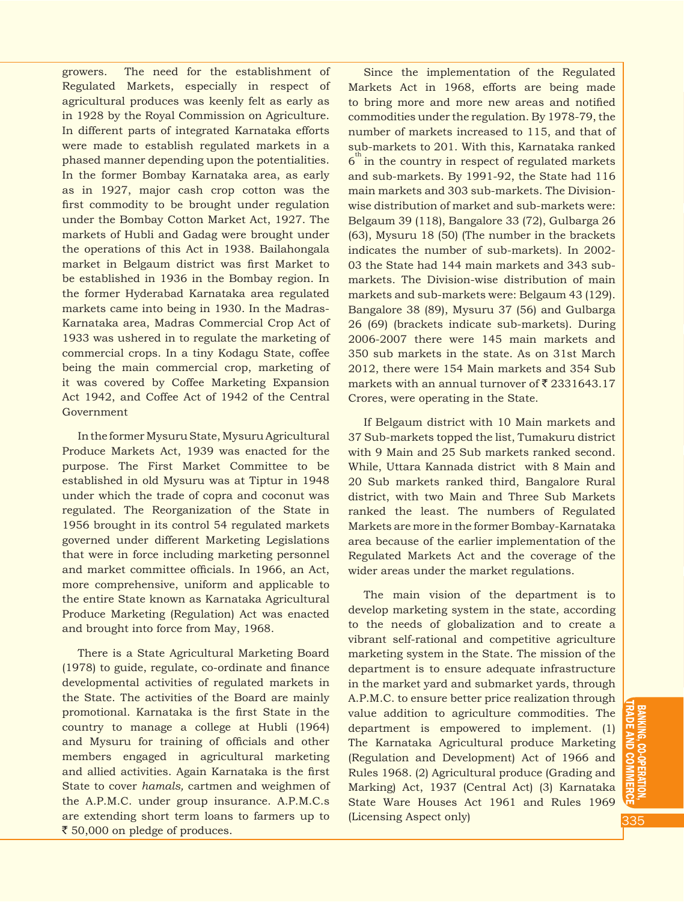growers. The need for the establishment of Regulated Markets, especially in respect of agricultural produces was keenly felt as early as in 1928 by the Royal Commission on Agriculture. In different parts of integrated Karnataka efforts were made to establish regulated markets in a phased manner depending upon the potentialities. In the former Bombay Karnataka area, as early as in 1927, major cash crop cotton was the first commodity to be brought under regulation under the Bombay Cotton Market Act, 1927. The markets of Hubli and Gadag were brought under the operations of this Act in 1938. Bailahongala market in Belgaum district was first Market to be established in 1936 in the Bombay region. In the former Hyderabad Karnataka area regulated markets came into being in 1930. In the Madras-Karnataka area, Madras Commercial Crop Act of 1933 was ushered in to regulate the marketing of commercial crops. In a tiny Kodagu State, coffee being the main commercial crop, marketing of it was covered by Coffee Marketing Expansion Act 1942, and Coffee Act of 1942 of the Central Government

In the former Mysuru State, Mysuru Agricultural Produce Markets Act, 1939 was enacted for the purpose. The First Market Committee to be established in old Mysuru was at Tiptur in 1948 under which the trade of copra and coconut was regulated. The Reorganization of the State in 1956 brought in its control 54 regulated markets governed under different Marketing Legislations that were in force including marketing personnel and market committee officials. In 1966, an Act, more comprehensive, uniform and applicable to the entire State known as Karnataka Agricultural Produce Marketing (Regulation) Act was enacted and brought into force from May, 1968.

There is a State Agricultural Marketing Board (1978) to guide, regulate, co-ordinate and finance developmental activities of regulated markets in the State. The activities of the Board are mainly promotional. Karnataka is the first State in the country to manage a college at Hubli (1964) and Mysuru for training of officials and other members engaged in agricultural marketing and allied activities. Again Karnataka is the first State to cover *hamals,* cartmen and weighmen of the A.P.M.C. under group insurance. A.P.M.C.s are extending short term loans to farmers up to ₹ 50,000 on pledge of produces.

Since the implementation of the Regulated Markets Act in 1968, efforts are being made to bring more and more new areas and notified commodities under the regulation. By 1978-79, the number of markets increased to 115, and that of sub-markets to 201. With this, Karnataka ranked  $6^{\text{th}}$  in the country in respect of regulated markets and sub-markets. By 1991-92, the State had 116 main markets and 303 sub-markets. The Divisionwise distribution of market and sub-markets were: Belgaum 39 (118), Bangalore 33 (72), Gulbarga 26 (63), Mysuru 18 (50) (The number in the brackets indicates the number of sub-markets). In 2002- 03 the State had 144 main markets and 343 submarkets. The Division-wise distribution of main markets and sub-markets were: Belgaum 43 (129). Bangalore 38 (89), Mysuru 37 (56) and Gulbarga 26 (69) (brackets indicate sub-markets). During 2006-2007 there were 145 main markets and 350 sub markets in the state. As on 31st March 2012, there were 154 Main markets and 354 Sub markets with an annual turnover of  $\bar{\tau}$  2331643.17 Crores, were operating in the State.

If Belgaum district with 10 Main markets and 37 Sub-markets topped the list, Tumakuru district with 9 Main and 25 Sub markets ranked second. While, Uttara Kannada district with 8 Main and 20 Sub markets ranked third, Bangalore Rural district, with two Main and Three Sub Markets ranked the least. The numbers of Regulated Markets are more in the former Bombay-Karnataka area because of the earlier implementation of the Regulated Markets Act and the coverage of the wider areas under the market regulations.

The main vision of the department is to develop marketing system in the state, according to the needs of globalization and to create a vibrant self-rational and competitive agriculture marketing system in the State. The mission of the department is to ensure adequate infrastructure in the market yard and submarket yards, through A.P.M.C. to ensure better price realization through value addition to agriculture commodities. The department is empowered to implement. (1) The Karnataka Agricultural produce Marketing (Regulation and Development) Act of 1966 and Rules 1968. (2) Agricultural produce (Grading and Marking) Act, 1937 (Central Act) (3) Karnataka State Ware Houses Act 1961 and Rules 1969 (Licensing Aspect only)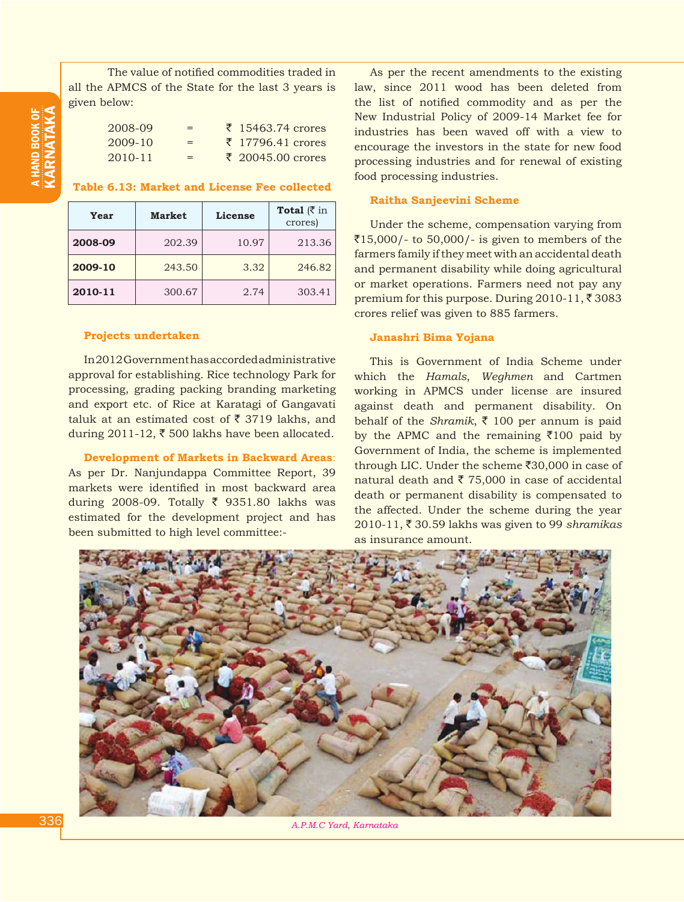a HAND BOOK  $\frac{2}{3}$ KARNATA

The value of notified commodities traded in all the APMCS of the State for the last 3 years is given below:

| 2008-09     | $=$ | $\bar{z}$ 15463.74 crores |
|-------------|-----|---------------------------|
| 2009-10     | $=$ | $\bar{z}$ 17796.41 crores |
| $2010 - 11$ | $=$ | $\bar{z}$ 20045.00 crores |

## **Table 6.13: Market and License Fee collected**

| Year    | <b>Market</b> | License | Total $(3 \in \mathbb{R})$<br>crores) |
|---------|---------------|---------|---------------------------------------|
| 2008-09 | 202.39        | 10.97   | 213.36                                |
| 2009-10 | 243.50        | 3.32    | 246.82                                |
| 2010-11 | 300.67        | 2.74    | 303.41                                |

#### **Projects undertaken**

In 2012 Government has accorded administrative approval for establishing. Rice technology Park for processing, grading packing branding marketing and export etc. of Rice at Karatagi of Gangavati taluk at an estimated cost of  $\bar{\tau}$  3719 lakhs, and during 2011-12,  $\bar{\tau}$  500 lakhs have been allocated.

**Development of Markets in Backward Areas**: As per Dr. Nanjundappa Committee Report, 39 markets were identified in most backward area during 2008-09. Totally  $\bar{\zeta}$  9351.80 lakhs was estimated for the development project and has been submitted to high level committee:-

As per the recent amendments to the existing law, since 2011 wood has been deleted from the list of notified commodity and as per the New Industrial Policy of 2009-14 Market fee for industries has been waved off with a view to encourage the investors in the state for new food processing industries and for renewal of existing food processing industries.

#### **Raitha Sanjeevini Scheme**

Under the scheme, compensation varying from  $\overline{515,000}$ /- to 50,000/- is given to members of the farmers family if they meet with an accidental death and permanent disability while doing agricultural or market operations. Farmers need not pay any premium for this purpose. During 2010-11,  $\overline{\xi}$  3083 crores relief was given to 885 farmers.

## **Janashri Bima Yojana**

This is Government of India Scheme under which the *Hamals*, *Weghmen* and Cartmen working in APMCS under license are insured against death and permanent disability. On behalf of the *Shramik*,  $\bar{\tau}$  100 per annum is paid by the APMC and the remaining  $\overline{5100}$  paid by Government of India, the scheme is implemented through LIC. Under the scheme  $\overline{30,000}$  in case of natural death and  $\bar{\tau}$  75,000 in case of accidental death or permanent disability is compensated to the affected. Under the scheme during the year 2010-11, ₹ 30.59 lakhs was given to 99 *shramikas* as insurance amount.



*A.P.M.C Yard, Karnataka*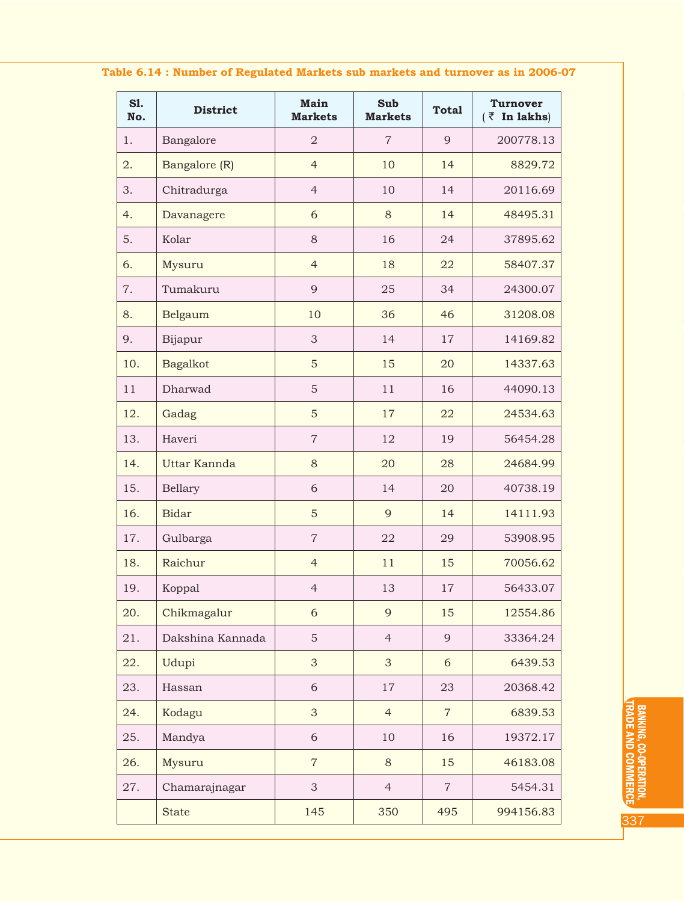|  |  |  |  |  | Table 6.14 : Number of Regulated Markets sub markets and turnover as in 2006-07 |  |
|--|--|--|--|--|---------------------------------------------------------------------------------|--|
|--|--|--|--|--|---------------------------------------------------------------------------------|--|

| S1.<br>No. | <b>District</b>  | Main<br><b>Markets</b> | <b>Sub</b><br><b>Markets</b> | <b>Total</b>   | <b>Turnover</b><br>$(\bar{z}$ In lakhs) |
|------------|------------------|------------------------|------------------------------|----------------|-----------------------------------------|
| 1.         | Bangalore        | $\overline{2}$         | $\overline{7}$               | 9              | 200778.13                               |
| 2.         | Bangalore (R)    | $\overline{4}$         | 10                           | 14             | 8829.72                                 |
| 3.         | Chitradurga      | $\overline{4}$         | 10                           | 14             | 20116.69                                |
| 4.         | Davanagere       | 6                      | 8                            | 14             | 48495.31                                |
| 5.         | Kolar            | 8                      | 16                           | 24             | 37895.62                                |
| 6.         | Mysuru           | $\overline{4}$         | 18                           | 22             | 58407.37                                |
| 7.         | Tumakuru         | 9                      | 25                           | 34             | 24300.07                                |
| 8.         | Belgaum          | 10                     | 36                           | 46             | 31208.08                                |
| 9.         | Bijapur          | 3                      | 14                           | 17             | 14169.82                                |
| 10.        | <b>Bagalkot</b>  | 5                      | 15                           | 20             | 14337.63                                |
| 11         | Dharwad          | 5                      | 11                           | 16             | 44090.13                                |
| 12.        | Gadag            | 5                      | 17                           | 22             | 24534.63                                |
| 13.        | Haveri           | $\overline{7}$         | 12                           | 19             | 56454.28                                |
| 14.        | Uttar Kannda     | 8                      | 20                           | 28             | 24684.99                                |
| 15.        | Bellary          | 6                      | 14                           | 20             | 40738.19                                |
| 16.        | <b>Bidar</b>     | 5                      | 9                            | 14             | 14111.93                                |
| 17.        | Gulbarga         | $\overline{7}$         | 22                           | 29             | 53908.95                                |
| 18.        | Raichur          | $\overline{4}$         | 11                           | 15             | 70056.62                                |
| 19.        | Koppal           | $\overline{4}$         | 13                           | $17\,$         | 56433.07                                |
| 20.        | Chikmagalur      | 6                      | 9                            | 15             | 12554.86                                |
| 21.        | Dakshina Kannada | 5                      | $\overline{4}$               | 9              | 33364.24                                |
| 22.        | Udupi            | 3                      | 3                            | 6              | 6439.53                                 |
| 23.        | Hassan           | 6                      | 17                           | 23             | 20368.42                                |
| 24.        | Kodagu           | 3                      | $\overline{4}$               | $\overline{7}$ | 6839.53                                 |
| 25.        | Mandya           | 6                      | 10                           | 16             | 19372.17                                |
| 26.        | Mysuru           | $\overline{7}$         | 8                            | 15             | 46183.08                                |
| 27.        | Chamarajnagar    | 3                      | $\overline{4}$               | $\overline{7}$ | 5454.31                                 |
|            | <b>State</b>     | 145                    | 350                          | 495            | 994156.83                               |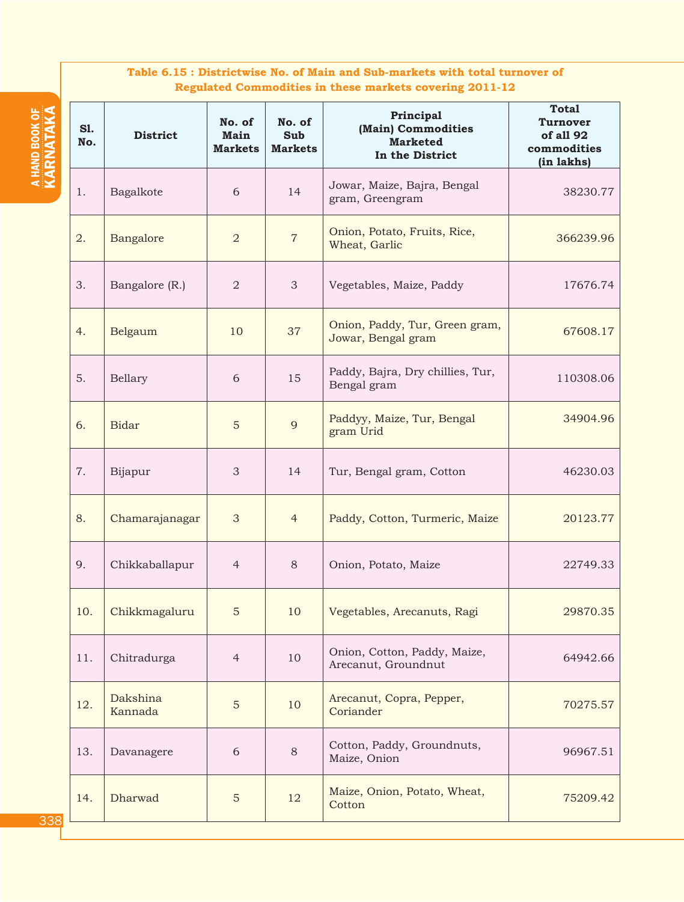# **Table 6.15 : Districtwise No. of Main and Sub-markets with total turnover of Regulated Commodities in these markets covering 2011-12**

| S1.<br>No. | <b>District</b>     | No. of<br>Main<br><b>Markets</b> | No. of<br><b>Sub</b><br><b>Markets</b> | Principal<br>(Main) Commodities<br><b>Marketed</b><br>In the District | <b>Total</b><br><b>Turnover</b><br>of all 92<br>commodities<br>(in lakhs) |
|------------|---------------------|----------------------------------|----------------------------------------|-----------------------------------------------------------------------|---------------------------------------------------------------------------|
| 1.         | Bagalkote           | 6                                | 14                                     | Jowar, Maize, Bajra, Bengal<br>gram, Greengram                        | 38230.77                                                                  |
| 2.         | Bangalore           | $\overline{a}$                   | $\overline{7}$                         | Onion, Potato, Fruits, Rice,<br>Wheat, Garlic                         | 366239.96                                                                 |
| 3.         | Bangalore (R.)      | $\overline{a}$                   | 3                                      | Vegetables, Maize, Paddy                                              | 17676.74                                                                  |
| 4.         | Belgaum             | 10                               | 37                                     | Onion, Paddy, Tur, Green gram,<br>Jowar, Bengal gram                  | 67608.17                                                                  |
| 5.         | Bellary             | 6                                | 15                                     | Paddy, Bajra, Dry chillies, Tur,<br>Bengal gram                       | 110308.06                                                                 |
| 6.         | <b>Bidar</b>        | 5                                | 9                                      | Paddyy, Maize, Tur, Bengal<br>gram Urid                               | 34904.96                                                                  |
| 7.         | Bijapur             | 3                                | 14                                     | Tur, Bengal gram, Cotton                                              | 46230.03                                                                  |
| 8.         | Chamarajanagar      | 3                                | $\overline{4}$                         | Paddy, Cotton, Turmeric, Maize                                        | 20123.77                                                                  |
| 9.         | Chikkaballapur      | $\overline{4}$                   | 8                                      | Onion, Potato, Maize                                                  | 22749.33                                                                  |
| 10.        | Chikkmagaluru       | 5                                | 10                                     | Vegetables, Arecanuts, Ragi                                           | 29870.35                                                                  |
| 11.        | Chitradurga         | $\overline{4}$                   | 10                                     | Onion, Cotton, Paddy, Maize,<br>Arecanut, Groundnut                   | 64942.66                                                                  |
| 12.        | Dakshina<br>Kannada | 5                                | 10                                     | Arecanut, Copra, Pepper,<br>Coriander                                 | 70275.57                                                                  |
| 13.        | Davanagere          | 6                                | $8\,$                                  | Cotton, Paddy, Groundnuts,<br>Maize, Onion                            | 96967.51                                                                  |
| 14.        | Dharwad             | $\mathbf 5$                      | 12                                     | Maize, Onion, Potato, Wheat,<br>Cotton                                | 75209.42                                                                  |

a HAND BOOK eiS<br>G KARNATA A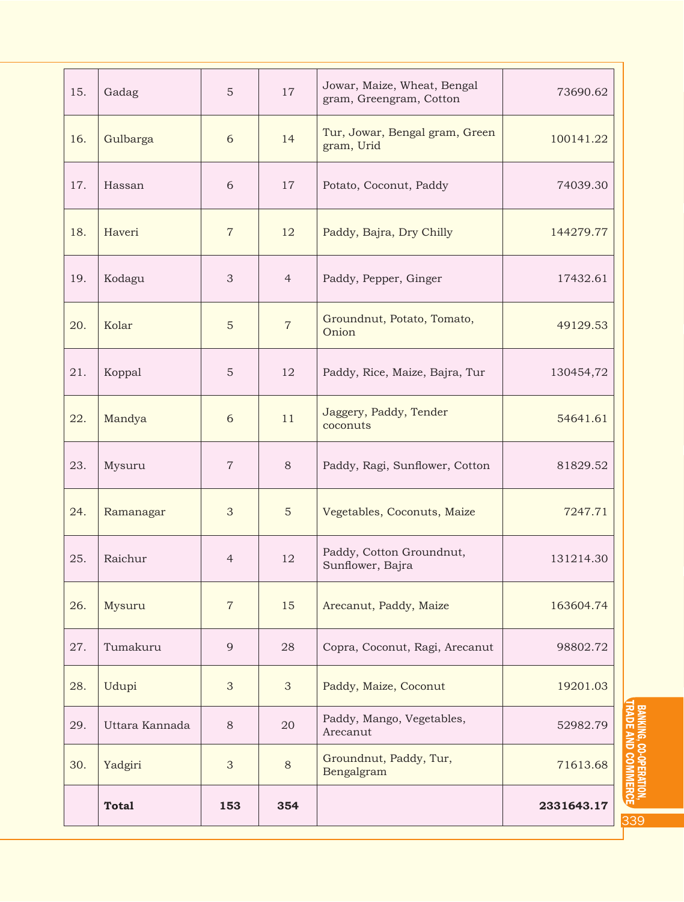| 15. | Gadag          | $\sqrt{5}$     | 17             | Jowar, Maize, Wheat, Bengal<br>gram, Greengram, Cotton | 73690.62   |
|-----|----------------|----------------|----------------|--------------------------------------------------------|------------|
| 16. | Gulbarga       | 6              | 14             | Tur, Jowar, Bengal gram, Green<br>gram, Urid           | 100141.22  |
| 17. | Hassan         | 6              | 17             | Potato, Coconut, Paddy                                 | 74039.30   |
| 18. | Haveri         | $\overline{7}$ | 12             | Paddy, Bajra, Dry Chilly                               | 144279.77  |
| 19. | Kodagu         | 3              | $\overline{4}$ | Paddy, Pepper, Ginger                                  | 17432.61   |
| 20. | Kolar          | $\sqrt{5}$     | $\overline{7}$ | Groundnut, Potato, Tomato,<br>Onion                    | 49129.53   |
| 21. | Koppal         | 5              | 12             | Paddy, Rice, Maize, Bajra, Tur                         | 130454,72  |
| 22. | Mandya         | 6              | 11             | Jaggery, Paddy, Tender<br>coconuts                     | 54641.61   |
| 23. | Mysuru         | $\overline{7}$ | $8\,$          | Paddy, Ragi, Sunflower, Cotton                         | 81829.52   |
| 24. | Ramanagar      | $\mathfrak{Z}$ | $\mathbf 5$    | Vegetables, Coconuts, Maize                            | 7247.71    |
| 25. | Raichur        | $\overline{4}$ | 12             | Paddy, Cotton Groundnut,<br>Sunflower, Bajra           | 131214.30  |
| 26. | Mysuru         | $\sqrt{7}$     | 15             | Arecanut, Paddy, Maize                                 | 163604.74  |
| 27. | Tumakuru       | 9              | 28             | Copra, Coconut, Ragi, Arecanut                         | 98802.72   |
| 28. | Udupi          | 3              | $\mathfrak{S}$ | Paddy, Maize, Coconut                                  | 19201.03   |
| 29. | Uttara Kannada | $8\,$          | 20             | Paddy, Mango, Vegetables,<br>Arecanut                  | 52982.79   |
| 30. | Yadgiri        | $\mathfrak{S}$ | $8\,$          | Groundnut, Paddy, Tur,<br>Bengalgram                   | 71613.68   |
|     | <b>Total</b>   | 153            | 354            |                                                        | 2331643.17 |

BANKING, CO-OPERATION, CO. BANKING, CO-OPERATION,<br>Trade and Commerce, CC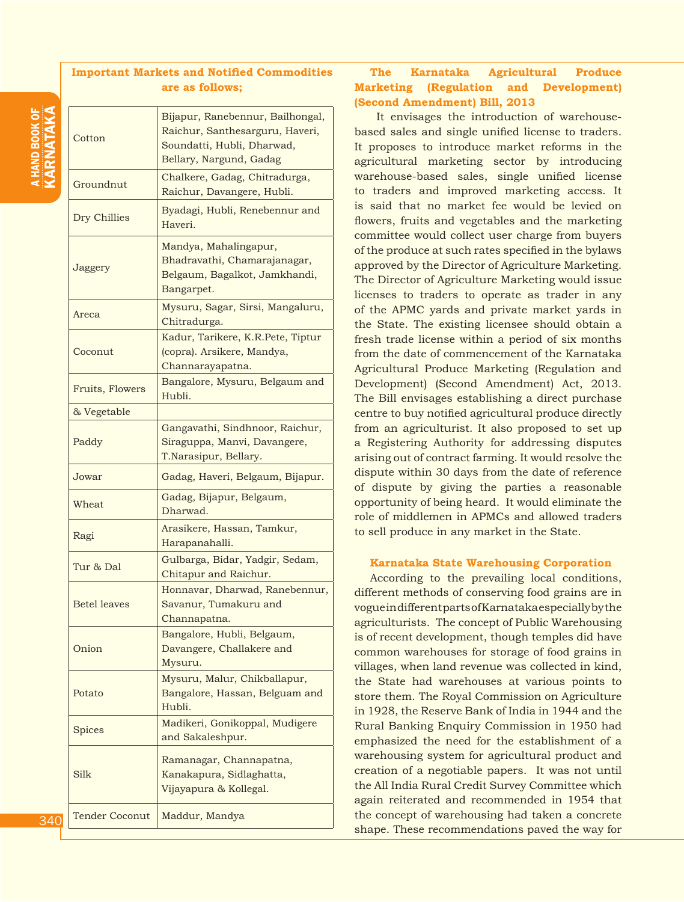## **Important Markets and Notified Commodities are as follows;**

| Cotton              | Bijapur, Ranebennur, Bailhongal,<br>Raichur, Santhesarguru, Haveri,<br>Soundatti, Hubli, Dharwad,<br>Bellary, Nargund, Gadag |
|---------------------|------------------------------------------------------------------------------------------------------------------------------|
| Groundnut           | Chalkere, Gadag, Chitradurga,<br>Raichur, Davangere, Hubli.                                                                  |
| Dry Chillies        | Byadagi, Hubli, Renebennur and<br>Haveri.                                                                                    |
| Jaggery             | Mandya, Mahalingapur,<br>Bhadravathi, Chamarajanagar,<br>Belgaum, Bagalkot, Jamkhandi,<br>Bangarpet.                         |
| Areca               | Mysuru, Sagar, Sirsi, Mangaluru,<br>Chitradurga.                                                                             |
| Coconut             | Kadur, Tarikere, K.R.Pete, Tiptur<br>(copra). Arsikere, Mandya,<br>Channarayapatna.                                          |
| Fruits, Flowers     | Bangalore, Mysuru, Belgaum and<br>Hubli.                                                                                     |
| & Vegetable         |                                                                                                                              |
| Paddy               | Gangavathi, Sindhnoor, Raichur,<br>Siraguppa, Manvi, Davangere,<br>T.Narasipur, Bellary.                                     |
| Jowar               | Gadag, Haveri, Belgaum, Bijapur.                                                                                             |
| Wheat               | Gadag, Bijapur, Belgaum,<br>Dharwad.                                                                                         |
| Ragi                | Arasikere, Hassan, Tamkur,<br>Harapanahalli.                                                                                 |
| Tur & Dal           | Gulbarga, Bidar, Yadgir, Sedam,<br>Chitapur and Raichur.                                                                     |
| <b>Betel leaves</b> | Honnavar, Dharwad, Ranebennur,<br>Savanur, Tumakuru and<br>Channapatna.                                                      |
| Onion               | Bangalore, Hubli, Belgaum,<br>Davangere, Challakere and<br>Mysuru.                                                           |
| Potato              | Mysuru, Malur, Chikballapur,<br>Bangalore, Hassan, Belguam and<br>Hubli.                                                     |
| Spices              | Madikeri, Gonikoppal, Mudigere<br>and Sakaleshpur.                                                                           |
| Silk                | Ramanagar, Channapatna,<br>Kanakapura, Sidlaghatta,<br>Vijayapura & Kollegal.                                                |
| Tender Coconut      | Maddur, Mandya                                                                                                               |

# **The Karnataka Agricultural Produce Marketing (Regulation and Development) (Second Amendment) Bill, 2013**

It envisages the introduction of warehousebased sales and single unified license to traders. It proposes to introduce market reforms in the agricultural marketing sector by introducing warehouse-based sales, single unified license to traders and improved marketing access. It is said that no market fee would be levied on flowers, fruits and vegetables and the marketing committee would collect user charge from buyers of the produce at such rates specified in the bylaws approved by the Director of Agriculture Marketing. The Director of Agriculture Marketing would issue licenses to traders to operate as trader in any of the APMC yards and private market yards in the State. The existing licensee should obtain a fresh trade license within a period of six months from the date of commencement of the Karnataka Agricultural Produce Marketing (Regulation and Development) (Second Amendment) Act, 2013. The Bill envisages establishing a direct purchase centre to buy notified agricultural produce directly from an agriculturist. It also proposed to set up a Registering Authority for addressing disputes arising out of contract farming. It would resolve the dispute within 30 days from the date of reference of dispute by giving the parties a reasonable opportunity of being heard. It would eliminate the role of middlemen in APMCs and allowed traders to sell produce in any market in the State.

## **Karnataka State Warehousing Corporation**

According to the prevailing local conditions, different methods of conserving food grains are in vogue in different parts of Karnataka especially by the agriculturists. The concept of Public Warehousing is of recent development, though temples did have common warehouses for storage of food grains in villages, when land revenue was collected in kind, the State had warehouses at various points to store them. The Royal Commission on Agriculture in 1928, the Reserve Bank of India in 1944 and the Rural Banking Enquiry Commission in 1950 had emphasized the need for the establishment of a warehousing system for agricultural product and creation of a negotiable papers. It was not until the All India Rural Credit Survey Committee which again reiterated and recommended in 1954 that the concept of warehousing had taken a concrete shape. These recommendations paved the way for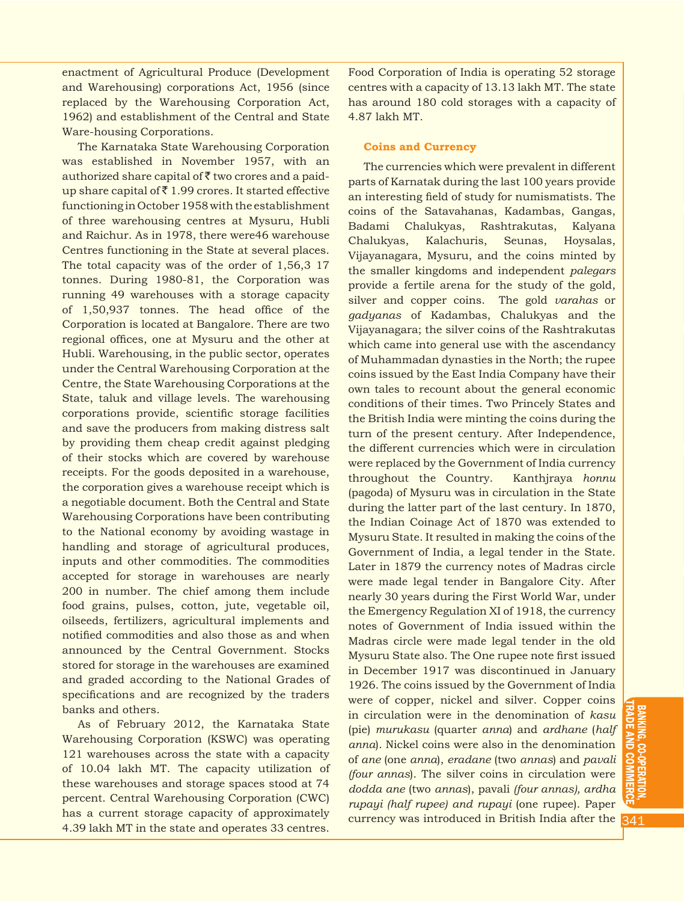enactment of Agricultural Produce (Development and Warehousing) corporations Act, 1956 (since replaced by the Warehousing Corporation Act, 1962) and establishment of the Central and State Ware-housing Corporations.

The Karnataka State Warehousing Corporation was established in November 1957, with an authorized share capital of  $\bar{z}$  two crores and a paidup share capital of  $\bar{z}$  1.99 crores. It started effective functioning in October 1958 with the establishment of three warehousing centres at Mysuru, Hubli and Raichur. As in 1978, there were46 warehouse Centres functioning in the State at several places. The total capacity was of the order of 1,56,3 17 tonnes. During 1980-81, the Corporation was running 49 warehouses with a storage capacity of 1,50,937 tonnes. The head office of the Corporation is located at Bangalore. There are two regional offices, one at Mysuru and the other at Hubli. Warehousing, in the public sector, operates under the Central Warehousing Corporation at the Centre, the State Warehousing Corporations at the State, taluk and village levels. The warehousing corporations provide, scientific storage facilities and save the producers from making distress salt by providing them cheap credit against pledging of their stocks which are covered by warehouse receipts. For the goods deposited in a warehouse, the corporation gives a warehouse receipt which is a negotiable document. Both the Central and State Warehousing Corporations have been contributing to the National economy by avoiding wastage in handling and storage of agricultural produces, inputs and other commodities. The commodities accepted for storage in warehouses are nearly 200 in number. The chief among them include food grains, pulses, cotton, jute, vegetable oil, oilseeds, fertilizers, agricultural implements and notified commodities and also those as and when announced by the Central Government. Stocks stored for storage in the warehouses are examined and graded according to the National Grades of specifications and are recognized by the traders banks and others.

As of February 2012, the Karnataka State Warehousing Corporation (KSWC) was operating 121 warehouses across the state with a capacity of 10.04 lakh MT. The capacity utilization of these warehouses and storage spaces stood at 74 percent. Central Warehousing Corporation (CWC) has a current storage capacity of approximately 4.39 lakh MT in the state and operates 33 centres.

Food Corporation of India is operating 52 storage centres with a capacity of 13.13 lakh MT. The state has around 180 cold storages with a capacity of 4.87 lakh MT.

#### **Coins and Currency**

The currencies which were prevalent in different parts of Karnatak during the last 100 years provide an interesting field of study for numismatists. The coins of the Satavahanas, Kadambas, Gangas, Badami Chalukyas, Rashtrakutas, Kalyana Chalukyas, Kalachuris, Seunas, Hoysalas, Vijayanagara, Mysuru, and the coins minted by the smaller kingdoms and independent *palegars*  provide a fertile arena for the study of the gold, silver and copper coins. The gold *varahas* or *gadyanas* of Kadambas, Chalukyas and the Vijayanagara; the silver coins of the Rashtrakutas which came into general use with the ascendancy of Muhammadan dynasties in the North; the rupee coins issued by the East India Company have their own tales to recount about the general economic conditions of their times. Two Princely States and the British India were minting the coins during the turn of the present century. After Independence, the different currencies which were in circulation were replaced by the Government of India currency throughout the Country. Kanthjraya *honnu* (pagoda) of Mysuru was in circulation in the State during the latter part of the last century. In 1870, the Indian Coinage Act of 1870 was extended to Mysuru State. It resulted in making the coins of the Government of India, a legal tender in the State. Later in 1879 the currency notes of Madras circle were made legal tender in Bangalore City. After nearly 30 years during the First World War, under the Emergency Regulation XI of 1918, the currency notes of Government of India issued within the Madras circle were made legal tender in the old Mysuru State also. The One rupee note first issued in December 1917 was discontinued in January 1926. The coins issued by the Government of India were of copper, nickel and silver. Copper coins in circulation were in the denomination of *kasu*  (pie) *murukasu* (quarter *anna*) and *ardhane* (*half anna*). Nickel coins were also in the denomination of *ane* (one *anna*), *eradane* (two *annas*) and *pavali (four annas*). The silver coins in circulation were *dodda ane* (two *annas*), pavali *(four annas), ardha rupayi (half rupee) and rupayi* (one rupee). Paper currency was introduced in British India after the